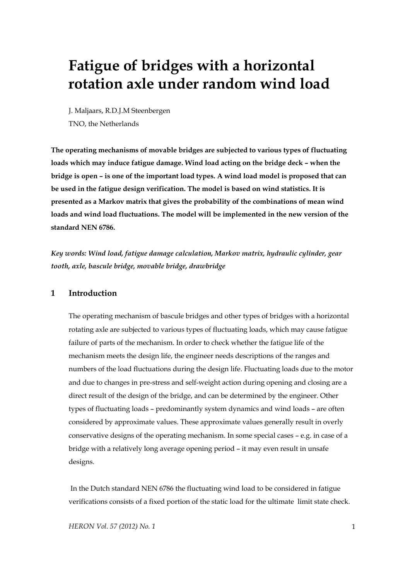# **Fatigue of bridges with a horizontal rotation axle under random wind load**

J. Maljaars, R.D.J.M Steenbergen TNO, the Netherlands

**The operating mechanisms of movable bridges are subjected to various types of fluctuating loads which may induce fatigue damage. Wind load acting on the bridge deck – when the bridge is open – is one of the important load types. A wind load model is proposed that can be used in the fatigue design verification. The model is based on wind statistics. It is presented as a Markov matrix that gives the probability of the combinations of mean wind loads and wind load fluctuations. The model will be implemented in the new version of the standard NEN 6786.** 

*Key words: Wind load, fatigue damage calculation, Markov matrix, hydraulic cylinder, gear tooth, axle, bascule bridge, movable bridge, drawbridge* 

# **1 Introduction**

The operating mechanism of bascule bridges and other types of bridges with a horizontal rotating axle are subjected to various types of fluctuating loads, which may cause fatigue failure of parts of the mechanism. In order to check whether the fatigue life of the mechanism meets the design life, the engineer needs descriptions of the ranges and numbers of the load fluctuations during the design life. Fluctuating loads due to the motor and due to changes in pre-stress and self-weight action during opening and closing are a direct result of the design of the bridge, and can be determined by the engineer. Other types of fluctuating loads – predominantly system dynamics and wind loads – are often considered by approximate values. These approximate values generally result in overly conservative designs of the operating mechanism. In some special cases – e.g. in case of a bridge with a relatively long average opening period – it may even result in unsafe designs.

 In the Dutch standard NEN 6786 the fluctuating wind load to be considered in fatigue verifications consists of a fixed portion of the static load for the ultimate limit state check.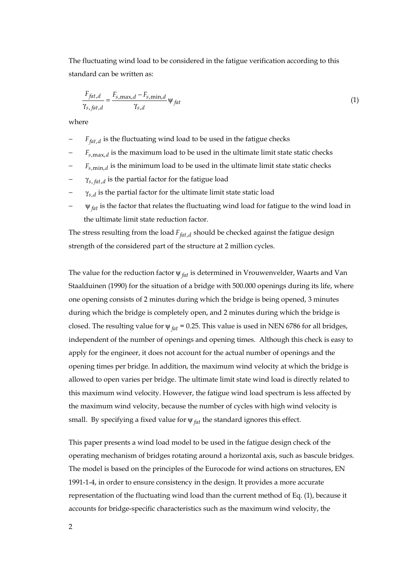The fluctuating wind load to be considered in the fatigue verification according to this standard can be written as:

$$
\frac{F_{fat,d}}{\gamma_{s, fat,d}} = \frac{F_{s,\max,d} - F_{s,\min,d}}{\gamma_{s,d}} \psi_{fat}
$$
\n(1)

where

- *F*<sub>fat d</sub> is the fluctuating wind load to be used in the fatigue checks
- $F_{s, \text{max}, d}$  is the maximum load to be used in the ultimate limit state static checks
- $F_{s,min,d}$  is the minimum load to be used in the ultimate limit state static checks
- $γ<sub>s, fat, d</sub>$  is the partial factor for the fatigue load
- $\gamma_{s,d}$  is the partial factor for the ultimate limit state static load
- $ψ<sub>fat</sub>$  is the factor that relates the fluctuating wind load for fatigue to the wind load in the ultimate limit state reduction factor.

The stress resulting from the load  $F_{fat, d}$ , should be checked against the fatigue design strength of the considered part of the structure at 2 million cycles.

The value for the reduction factor ψ *fat* is determined in Vrouwenvelder, Waarts and Van Staalduinen (1990) for the situation of a bridge with 500.000 openings during its life, where one opening consists of 2 minutes during which the bridge is being opened, 3 minutes during which the bridge is completely open, and 2 minutes during which the bridge is closed. The resulting value for ψ *fat* = 0.25. This value is used in NEN 6786 for all bridges, independent of the number of openings and opening times. Although this check is easy to apply for the engineer, it does not account for the actual number of openings and the opening times per bridge. In addition, the maximum wind velocity at which the bridge is allowed to open varies per bridge. The ultimate limit state wind load is directly related to this maximum wind velocity. However, the fatigue wind load spectrum is less affected by the maximum wind velocity, because the number of cycles with high wind velocity is small. By specifying a fixed value for  $\psi_{fat}$  the standard ignores this effect.

This paper presents a wind load model to be used in the fatigue design check of the operating mechanism of bridges rotating around a horizontal axis, such as bascule bridges. The model is based on the principles of the Eurocode for wind actions on structures, EN 1991-1-4, in order to ensure consistency in the design. It provides a more accurate representation of the fluctuating wind load than the current method of Eq. (1), because it accounts for bridge-specific characteristics such as the maximum wind velocity, the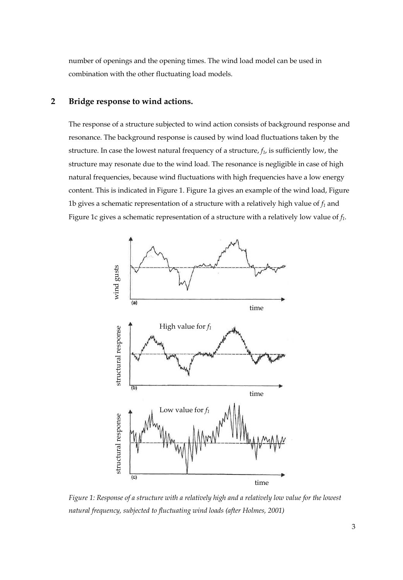number of openings and the opening times. The wind load model can be used in combination with the other fluctuating load models.

# **2 Bridge response to wind actions.**

The response of a structure subjected to wind action consists of background response and resonance. The background response is caused by wind load fluctuations taken by the structure. In case the lowest natural frequency of a structure,  $f_l$ , is sufficiently low, the structure may resonate due to the wind load. The resonance is negligible in case of high natural frequencies, because wind fluctuations with high frequencies have a low energy content. This is indicated in Figure 1. Figure 1a gives an example of the wind load, Figure 1b gives a schematic representation of a structure with a relatively high value of  $f_1$  and Figure 1c gives a schematic representation of a structure with a relatively low value of *f1*.



*Figure 1: Response of a structure with a relatively high and a relatively low value for the lowest natural frequency, subjected to fluctuating wind loads (after Holmes, 2001)*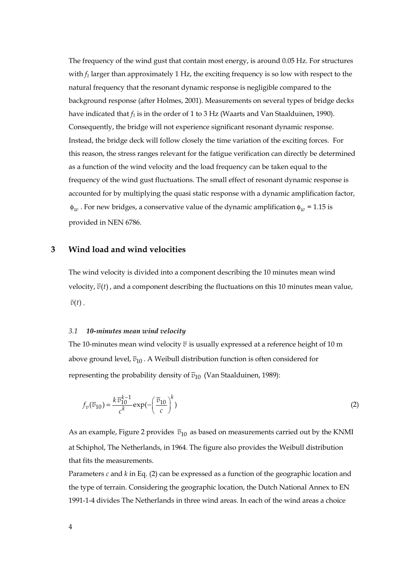The frequency of the wind gust that contain most energy, is around 0.05 Hz. For structures with  $f_1$  larger than approximately 1 Hz, the exciting frequency is so low with respect to the natural frequency that the resonant dynamic response is negligible compared to the background response (after Holmes, 2001). Measurements on several types of bridge decks have indicated that  $f_1$  is in the order of 1 to 3 Hz (Waarts and Van Staalduinen, 1990). Consequently, the bridge will not experience significant resonant dynamic response. Instead, the bridge deck will follow closely the time variation of the exciting forces. For this reason, the stress ranges relevant for the fatigue verification can directly be determined as a function of the wind velocity and the load frequency can be taken equal to the frequency of the wind gust fluctuations. The small effect of resonant dynamic response is accounted for by multiplying the quasi static response with a dynamic amplification factor,  $\phi_w$ . For new bridges, a conservative value of the dynamic amplification  $\phi_w$  = 1.15 is provided in NEN 6786.

# **3 Wind load and wind velocities**

The wind velocity is divided into a component describing the 10 minutes mean wind velocity,  $\overline{v}(t)$ , and a component describing the fluctuations on this 10 minutes mean value,  $\tilde{v}(t)$ .

# *3.1 10-minutes mean wind velocity*

The 10-minutes mean wind velocity  $\bar{v}$  is usually expressed at a reference height of 10 m above ground level,  $\overline{v}_{10}$ . A Weibull distribution function is often considered for representing the probability density of  $\overline{v}_{10}$  (Van Staalduinen, 1989):

$$
f_v(\overline{v}_{10}) = \frac{k \overline{v}_{10}^{k-1}}{c^k} \exp\left(-\left(\frac{\overline{v}_{10}}{c}\right)^k\right) \tag{2}
$$

As an example, Figure 2 provides  $\bar{v}_{10}$  as based on measurements carried out by the KNMI at Schiphol, The Netherlands, in 1964. The figure also provides the Weibull distribution that fits the measurements.

Parameters *c* and *k* in Eq. (2) can be expressed as a function of the geographic location and the type of terrain. Considering the geographic location, the Dutch National Annex to EN 1991-1-4 divides The Netherlands in three wind areas. In each of the wind areas a choice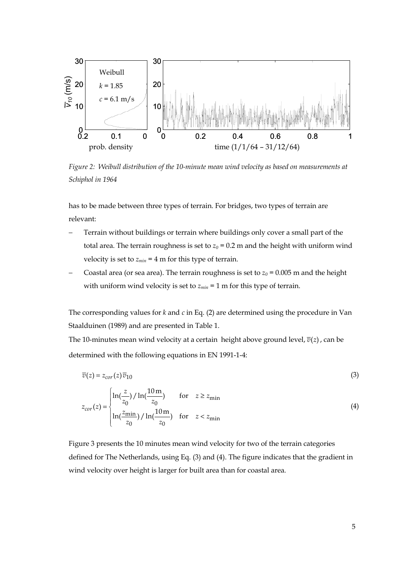

*Figure 2: Weibull distribution of the 10-minute mean wind velocity as based on measurements at Schiphol in 1964* 

has to be made between three types of terrain. For bridges, two types of terrain are relevant:

- Terrain without buildings or terrain where buildings only cover a small part of the total area. The terrain roughness is set to  $z_0$  = 0.2 m and the height with uniform wind velocity is set to  $z_{min} = 4$  m for this type of terrain.
- Coastal area (or sea area). The terrain roughness is set to  $z_0$  = 0.005 m and the height with uniform wind velocity is set to  $z_{min} = 1$  m for this type of terrain.

The corresponding values for *k* and *c* in Eq. (2) are determined using the procedure in Van Staalduinen (1989) and are presented in Table 1.

The 10-minutes mean wind velocity at a certain height above ground level,  $\overline{v}(z)$ , can be determined with the following equations in EN 1991-1-4:

$$
\overline{v}(z) = z_{cor}(z)\overline{v}_{10} \tag{3}
$$

$$
z_{cor}(z) = \begin{cases} \ln(\frac{z}{z_0}) / \ln(\frac{10 \text{ m}}{z_0}) & \text{for } z \ge z_{\text{min}}\\ \ln(\frac{z_{\text{min}}}{z_0}) / \ln(\frac{10 \text{ m}}{z_0}) & \text{for } z < z_{\text{min}} \end{cases}
$$
(4)

Figure 3 presents the 10 minutes mean wind velocity for two of the terrain categories defined for The Netherlands, using Eq. (3) and (4). The figure indicates that the gradient in wind velocity over height is larger for built area than for coastal area.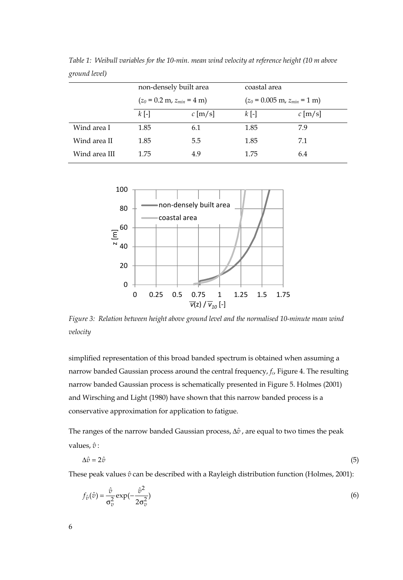|               |         | non-densely built area                         | coastal area |                                                  |
|---------------|---------|------------------------------------------------|--------------|--------------------------------------------------|
|               |         | $(z_0 = 0.2 \text{ m}, z_{min} = 4 \text{ m})$ |              | $(z_0 = 0.005 \text{ m}, z_{min} = 1 \text{ m})$ |
|               | $k$ [-] | c [m/s]                                        | $k$ [-]      | $c$ [m/s]                                        |
| Wind area I   | 1.85    | 6.1                                            | 1.85         | 79                                               |
| Wind area II  | 1.85    | 5.5                                            | 1.85         | 7.1                                              |
| Wind area III | 1.75    | 4.9                                            | 1.75         | 6.4                                              |

*Table 1: Weibull variables for the 10-min. mean wind velocity at reference height (10 m above ground level)* 



*Figure 3: Relation between height above ground level and the normalised 10-minute mean wind velocity* 

simplified representation of this broad banded spectrum is obtained when assuming a narrow banded Gaussian process around the central frequency, *fc*, Figure 4. The resulting narrow banded Gaussian process is schematically presented in Figure 5. Holmes (2001) and Wirsching and Light (1980) have shown that this narrow banded process is a conservative approximation for application to fatigue.

The ranges of the narrow banded Gaussian process, Δ $\hat{v}$ , are equal to two times the peak values,  $\hat{v}$  :

$$
\Delta \hat{v} = 2\hat{v} \tag{5}
$$

These peak values  $\hat{v}$  can be described with a Rayleigh distribution function (Holmes, 2001):

$$
f_{\hat{v}}(\hat{v}) = \frac{\hat{v}}{\sigma_v^2} \exp(-\frac{\hat{v}^2}{2\sigma_v^2})
$$
\n(6)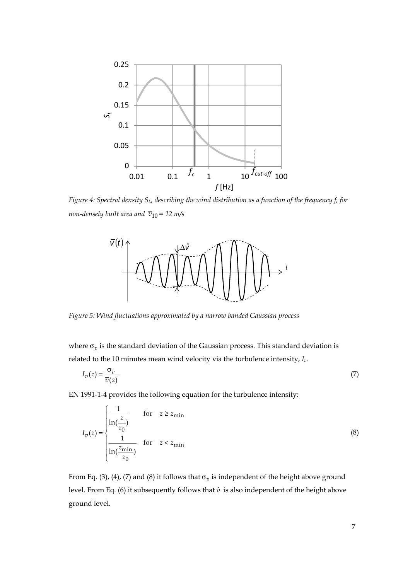

*Figure 4: Spectral density SL, describing the wind distribution as a function of the frequency f, for non-densely built area and*  $\overline{v}_{10}$  = 12 *m/s* 



*Figure 5: Wind fluctuations approximated by a narrow banded Gaussian process* 

where  $\sigma_v$  is the standard deviation of the Gaussian process. This standard deviation is related to the 10 minutes mean wind velocity via the turbulence intensity, *Iv*.

$$
I_v(z) = \frac{\sigma_v}{\overline{v}(z)}\tag{7}
$$

EN 1991-1-4 provides the following equation for the turbulence intensity:

$$
I_v(z) = \begin{cases} \frac{1}{\ln(\frac{z}{z_0})} & \text{for } z \ge z_{\min} \\ \frac{1}{\ln(\frac{z_{\min}}{z_0})} & \text{for } z < z_{\min} \end{cases}
$$
(8)

From Eq. (3), (4), (7) and (8) it follows that  $\sigma_v$  is independent of the height above ground level. From Eq. (6) it subsequently follows that  $\hat{v}$  is also independent of the height above ground level.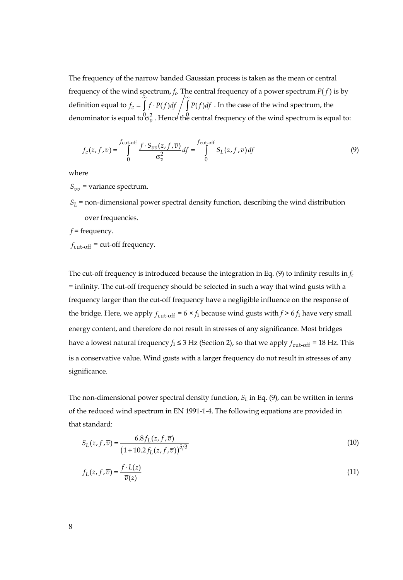The frequency of the narrow banded Gaussian process is taken as the mean or central frequency of the wind spectrum,  $f_c$ . The central frequency of a power spectrum  $P(f)$  is by definition equal to ∞ ∞  $f_c = \int f \cdot P(f) df / \int P(f) df$ . In the case of the wind spectrum, the denominator is equal to  $\sigma_v^2$  . Hence the central frequency of the wind spectrum is equal to:

$$
f_c(z, f, \overline{v}) = \int_0^{f_{\text{cut-off}}} \frac{f \cdot S_{vv}(z, f, \overline{v})}{\sigma_v^2} df = \int_0^{f_{\text{cut-off}}} S_L(z, f, \overline{v}) df
$$
(9)

where

 $S_{vv}$  = variance spectrum.

- $S_L$  = non-dimensional power spectral density function, describing the wind distribution over frequencies.
- *f* = frequency.
- $f_{\text{cut-off}}$  = cut-off frequency.

The cut-off frequency is introduced because the integration in Eq.  $(9)$  to infinity results in  $f_c$ = infinity. The cut-off frequency should be selected in such a way that wind gusts with a frequency larger than the cut-off frequency have a negligible influence on the response of the bridge. Here, we apply  $f_{\text{cut-off}} = 6 \times f_1$  because wind gusts with  $f > 6 f_1$  have very small energy content, and therefore do not result in stresses of any significance. Most bridges have a lowest natural frequency  $f_1 \leq 3$  Hz (Section 2), so that we apply  $f_{\text{cut-off}} = 18$  Hz. This is a conservative value. Wind gusts with a larger frequency do not result in stresses of any significance.

The non-dimensional power spectral density function, *SL* in Eq. (9), can be written in terms of the reduced wind spectrum in EN 1991-1-4. The following equations are provided in that standard:

$$
S_L(z, f, \overline{v}) = \frac{6.8 f_L(z, f, \overline{v})}{(1 + 10.2 f_L(z, f, \overline{v}))^{5/3}}
$$
(10)

$$
f_L(z, f, \overline{v}) = \frac{f \cdot L(z)}{\overline{v}(z)}
$$
\n(11)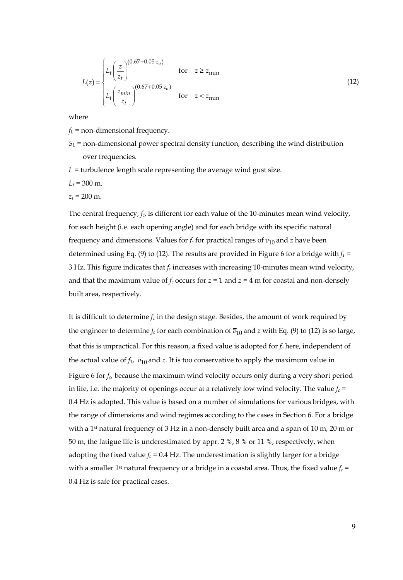$$
L(z) = \begin{cases} L_t \left(\frac{z}{z_t}\right)^{(0.67 + 0.05 z_o)} & \text{for } z \ge z_{\text{min}}\\ L_t \left(\frac{z_{\text{min}}}{z_t}\right)^{(0.67 + 0.05 z_o)} & \text{for } z < z_{\text{min}} \end{cases}
$$
(12)

where

- $f<sub>L</sub>$  = non-dimensional frequency.
- $S_L$  = non-dimensional power spectral density function, describing the wind distribution over frequencies.
- $L =$  turbulence length scale representing the average wind gust size.
- $L_t$  = 300 m.
- $z_t$  = 200 m.

The central frequency,  $f_c$ , is different for each value of the 10-minutes mean wind velocity, for each height (i.e. each opening angle) and for each bridge with its specific natural frequency and dimensions. Values for  $f_c$  for practical ranges of  $\overline{v}_{10}$  and *z* have been determined using Eq. (9) to (12). The results are provided in Figure 6 for a bridge with  $f_1$  = 3 Hz. This figure indicates that *fc* increases with increasing 10-minutes mean wind velocity, and that the maximum value of  $f_c$  occurs for  $z = 1$  and  $z = 4$  m for coastal and non-densely built area, respectively.

It is difficult to determine  $f_1$  in the design stage. Besides, the amount of work required by the engineer to determine  $f_c$  for each combination of  $\overline{v}_{10}$  and *z* with Eq. (9) to (12) is so large, that this is unpractical. For this reason, a fixed value is adopted for  $f_c$  here, independent of the actual value of  $f_1$ ,  $\overline{v}_{10}$  and *z*. It is too conservative to apply the maximum value in Figure 6 for *fc*, because the maximum wind velocity occurs only during a very short period in life, i.e. the majority of openings occur at a relatively low wind velocity. The value  $f_c$  = 0.4 Hz is adopted. This value is based on a number of simulations for various bridges, with the range of dimensions and wind regimes according to the cases in Section 6. For a bridge with a 1<sup>st</sup> natural frequency of 3 Hz in a non-densely built area and a span of 10 m, 20 m or 50 m, the fatigue life is underestimated by appr. 2 %, 8 % or 11 %, respectively, when adopting the fixed value  $f_c = 0.4$  Hz. The underestimation is slightly larger for a bridge with a smaller 1<sup>st</sup> natural frequency or a bridge in a coastal area. Thus, the fixed value  $f_c$  = 0.4 Hz is safe for practical cases.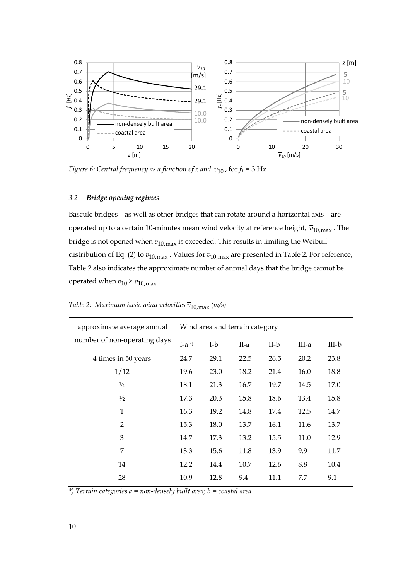

*Figure 6: Central frequency as a function of z and*  $\bar{v}_{10}$ , for  $f_1 = 3$  Hz

## *3.2 Bridge opening regimes*

Bascule bridges – as well as other bridges that can rotate around a horizontal axis – are operated up to a certain 10-minutes mean wind velocity at reference height,  $\bar{v}_{10,max}$ . The bridge is not opened when  $\overline{v}_{10,max}$  is exceeded. This results in limiting the Weibull distribution of Eq. (2) to  $\overline{v}_{10,max}$ . Values for  $\overline{v}_{10,max}$  are presented in Table 2. For reference, Table 2 also indicates the approximate number of annual days that the bridge cannot be operated when  $\overline{v}_{10}$  >  $\overline{v}_{10,max}$ .

| $I-a^*$ | I-b  | II-a | II-b | III-a                          | $III-b$ |
|---------|------|------|------|--------------------------------|---------|
| 24.7    | 29.1 | 22.5 | 26.5 | 20.2                           | 23.8    |
| 19.6    | 23.0 | 18.2 | 21.4 | 16.0                           | 18.8    |
| 18.1    | 21.3 | 16.7 | 19.7 | 14.5                           | 17.0    |
| 17.3    | 20.3 | 15.8 | 18.6 | 13.4                           | 15.8    |
| 16.3    | 19.2 | 14.8 | 17.4 | 12.5                           | 14.7    |
| 15.3    | 18.0 | 13.7 | 16.1 | 11.6                           | 13.7    |
| 14.7    | 17.3 | 13.2 | 15.5 | 11.0                           | 12.9    |
| 13.3    | 15.6 | 11.8 | 13.9 | 9.9                            | 11.7    |
| 12.2    | 14.4 | 10.7 | 12.6 | 8.8                            | 10.4    |
| 10.9    | 12.8 | 9.4  | 11.1 | 7.7                            | 9.1     |
|         |      |      |      | Wind area and terrain category |         |

*Table 2: Maximum basic wind velocities*  $\overline{v}_{10,max}$  *(m/s)* 

*\*) Terrain categories a = non-densely built area; b = coastal area*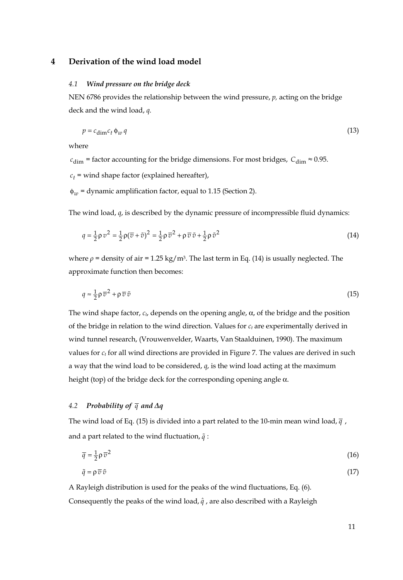## **4 Derivation of the wind load model**

### *4.1 Wind pressure on the bridge deck*

NEN 6786 provides the relationship between the wind pressure, *p,* acting on the bridge deck and the wind load, *q.*

$$
p = c_{\dim} c_t \phi_w q \tag{13}
$$

where

 $c_{\text{dim}}$  = factor accounting for the bridge dimensions. For most bridges,  $C_{\text{dim}} \approx 0.95$ .

 $c_t$  = wind shape factor (explained hereafter),

φ*<sup>w</sup>* = dynamic amplification factor, equal to 1.15 (Section 2).

The wind load, *q*, is described by the dynamic pressure of incompressible fluid dynamics:

$$
q = \frac{1}{2}\rho v^2 = \frac{1}{2}\rho(\overline{v} + \tilde{v})^2 = \frac{1}{2}\rho \overline{v}^2 + \rho \overline{v} \tilde{v} + \frac{1}{2}\rho \tilde{v}^2
$$
\n(14)

where  $\rho$  = density of air = 1.25 kg/m<sup>3</sup>. The last term in Eq. (14) is usually neglected. The approximate function then becomes:

$$
q \approx \frac{1}{2} \rho \,\overline{v}^2 + \rho \,\overline{v} \,\tilde{v} \tag{15}
$$

The wind shape factor, *ct*, depends on the opening angle, α, of the bridge and the position of the bridge in relation to the wind direction. Values for  $c_t$  are experimentally derived in wind tunnel research, (Vrouwenvelder, Waarts, Van Staalduinen, 1990). The maximum values for  $c_t$  for all wind directions are provided in Figure 7. The values are derived in such a way that the wind load to be considered, *q*, is the wind load acting at the maximum height (top) of the bridge deck for the corresponding opening angle  $\alpha$ .

### *4.2 Probability of q and Δq*

The wind load of Eq. (15) is divided into a part related to the 10-min mean wind load, *q* , and a part related to the wind fluctuation,  $\tilde{q}$ :

$$
\overline{q} = \frac{1}{2} \rho \,\overline{v}^2 \tag{16}
$$

$$
\tilde{q} = \rho \,\overline{v} \,\tilde{v} \tag{17}
$$

A Rayleigh distribution is used for the peaks of the wind fluctuations, Eq. (6). Consequently the peaks of the wind load,  $\hat{q}$ , are also described with a Rayleigh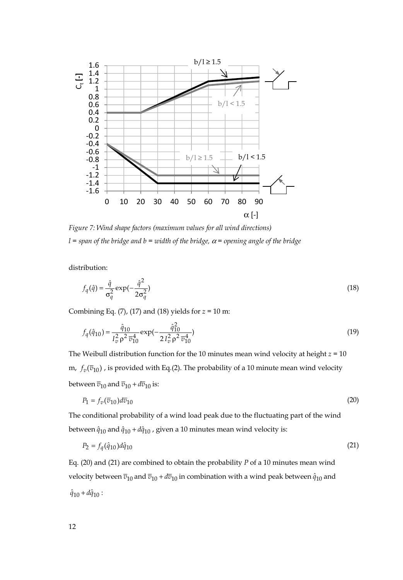

*Figure 7: Wind shape factors (maximum values for all wind directions)*   $l =$  span of the bridge and  $b =$  width of the bridge,  $\alpha =$  opening angle of the bridge

distribution:

$$
f_q(\hat{q}) = \frac{\hat{q}}{\sigma_q^2} \exp\left(-\frac{\hat{q}^2}{2\sigma_q^2}\right)
$$
 (18)

Combining Eq. (7), (17) and (18) yields for *z* = 10 m:

$$
f_q(\hat{q}_{10}) = \frac{\hat{q}_{10}}{I_v^2 \rho^2 \bar{v}_{10}^4} \exp\left(-\frac{\hat{q}_{10}^2}{2 I_v^2 \rho^2 \bar{v}_{10}^4}\right)
$$
(19)

The Weibull distribution function for the 10 minutes mean wind velocity at height *z* = 10 m,  $f_v(\overline{v}_{10})$ , is provided with Eq.(2). The probability of a 10 minute mean wind velocity between  $\overline{v}_{10}$  and  $\overline{v}_{10}$  +  $d\overline{v}_{10}$  is:

$$
P_1 = f_v(\overline{v}_{10})d\overline{v}_{10} \tag{20}
$$

The conditional probability of a wind load peak due to the fluctuating part of the wind between  $\hat{q}_{10}$  and  $\hat{q}_{10} + d\hat{q}_{10}$ , given a 10 minutes mean wind velocity is:

$$
P_2 = f_q(\hat{q}_{10})d\hat{q}_{10} \tag{21}
$$

Eq. (20) and (21) are combined to obtain the probability *P* of a 10 minutes mean wind velocity between  $\bar{v}_{10}$  and  $\bar{v}_{10}$  +  $d\bar{v}_{10}$  in combination with a wind peak between  $\hat{q}_{10}$  and  $\hat{q}_{10} + d\hat{q}_{10}$ :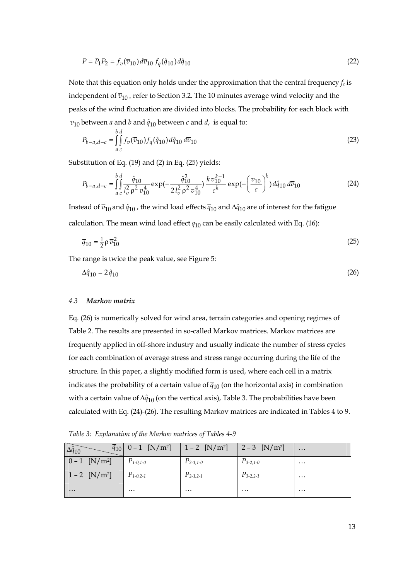$$
P = P_1 P_2 = f_v(\overline{v}_{10}) d\overline{v}_{10} f_q(\hat{q}_{10}) d\hat{q}_{10}
$$
\n(22)

Note that this equation only holds under the approximation that the central frequency  $f_c$  is independent of  $\overline{v}_{10}$ , refer to Section 3.2. The 10 minutes average wind velocity and the peaks of the wind fluctuation are divided into blocks. The probability for each block with  $\overline{v}_{10}$  between *a* and *b* and  $\hat{q}_{10}$  between *c* and *d*, is equal to:

$$
P_{b-a,d-c} = \iint_{a}^{b} f_v(\overline{v}_{10}) f_q(\hat{q}_{10}) d\hat{q}_{10} d\overline{v}_{10}
$$
 (23)

Substitution of Eq. (19) and (2) in Eq. (25) yields:

$$
P_{b-a,d-c} = \int_{a}^{b} \int_{c}^{d} \frac{\hat{q}_{10}}{l_{v}^{2} \rho^{2} \overline{v}_{10}^{4}} \exp(-\frac{\hat{q}_{10}^{2}}{2l_{v}^{2} \rho^{2} \overline{v}_{10}^{4}}) \frac{k \overline{v}_{10}^{k-1}}{c^{k}} \exp(-\left(\frac{\overline{v}_{10}}{c}\right)^{k}) d\hat{q}_{10} d\overline{v}_{10}
$$
(24)

Instead of  $\bar{v}_{10}$  and  $\hat{q}_{10}$ , the wind load effects  $\bar{q}_{10}$  and  $\Delta \hat{q}_{10}$  are of interest for the fatigue calculation. The mean wind load effect  $\bar{q}_{10}$  can be easily calculated with Eq. (16):

$$
\overline{q}_{10} = \frac{1}{2} \rho \,\overline{v}_{10}^2 \tag{25}
$$

The range is twice the peak value, see Figure 5:

$$
\Delta \hat{q}_{10} = 2 \hat{q}_{10} \tag{26}
$$

#### *4.3 Markov matrix*

Eq. (26) is numerically solved for wind area, terrain categories and opening regimes of Table 2. The results are presented in so-called Markov matrices. Markov matrices are frequently applied in off-shore industry and usually indicate the number of stress cycles for each combination of average stress and stress range occurring during the life of the structure. In this paper, a slightly modified form is used, where each cell in a matrix indicates the probability of a certain value of  $\bar{q}_{10}$  (on the horizontal axis) in combination with a certain value of  $\Delta \hat{q}_{10}$  (on the vertical axis), Table 3. The probabilities have been calculated with Eq. (24)-(26). The resulting Markov matrices are indicated in Tables 4 to 9.

*Table 3: Explanation of the Markov matrices of Tables 4-9*

|                             | $\bar{q}_{10}$ 0 - 1 [N/m <sup>2</sup> ]   1 - 2 [N/m <sup>2</sup> ]   2 - 3 [N/m <sup>2</sup> ] |               |               | .        |
|-----------------------------|--------------------------------------------------------------------------------------------------|---------------|---------------|----------|
| $0 - 1$ [N/m <sup>2</sup> ] | $P_{1-0,1-0}$                                                                                    | $P_{2-1,1-0}$ | $P_{3-2,1-0}$ | $\cdots$ |
| $1 - 2$ [N/m <sup>2</sup> ] | $P_{1-0,2-1}$                                                                                    | $P_{2-1,2-1}$ | $P_{3-2,2-1}$ | $\cdots$ |
| $\cdots$                    | $\cdots$                                                                                         | $\cdots$      | $\cdots$      | $\cdots$ |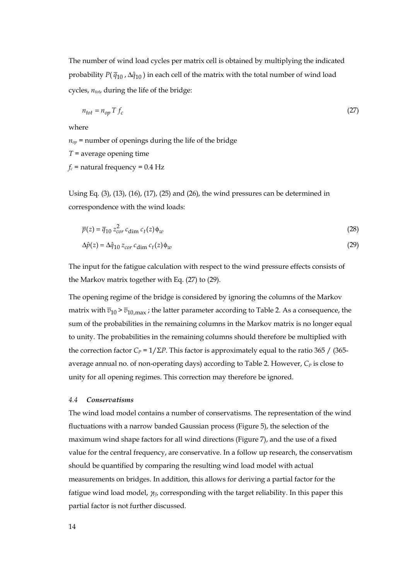The number of wind load cycles per matrix cell is obtained by multiplying the indicated probability  $P(\bar{q}_{10}, \Delta \hat{q}_{10})$  in each cell of the matrix with the total number of wind load cycles,  $n_{tot}$ , during the life of the bridge:

$$
n_{tot} = n_{op} T f_c \tag{27}
$$

where

 $n_{op}$  = number of openings during the life of the bridge *T* = average opening time  $f_c$  = natural frequency = 0.4 Hz

Using Eq. (3), (13), (16), (17), (25) and (26), the wind pressures can be determined in correspondence with the wind loads:

$$
\overline{p}(z) = \overline{q}_{10} z_{cor}^2 c_{\text{dim}} c_t(z) \phi_w \tag{28}
$$

$$
\Delta \hat{p}(z) = \Delta \hat{q}_{10} \, z_{cor} \, c_{\dim} \, c_t(z) \phi_w \tag{29}
$$

The input for the fatigue calculation with respect to the wind pressure effects consists of the Markov matrix together with Eq. (27) to (29).

The opening regime of the bridge is considered by ignoring the columns of the Markov matrix with  $\bar{v}_{10}$  >  $\bar{v}_{10, \text{max}}$ ; the latter parameter according to Table 2. As a consequence, the sum of the probabilities in the remaining columns in the Markov matrix is no longer equal to unity. The probabilities in the remaining columns should therefore be multiplied with the correction factor  $C_P = 1/\Sigma P$ . This factor is approximately equal to the ratio 365 / (365average annual no. of non-operating days) according to Table 2. However,  $C_P$  is close to unity for all opening regimes. This correction may therefore be ignored.

#### *4.4 Conservatisms*

The wind load model contains a number of conservatisms. The representation of the wind fluctuations with a narrow banded Gaussian process (Figure 5), the selection of the maximum wind shape factors for all wind directions (Figure 7), and the use of a fixed value for the central frequency, are conservative. In a follow up research, the conservatism should be quantified by comparing the resulting wind load model with actual measurements on bridges. In addition, this allows for deriving a partial factor for the fatigue wind load model, γ*Ff*, corresponding with the target reliability. In this paper this partial factor is not further discussed.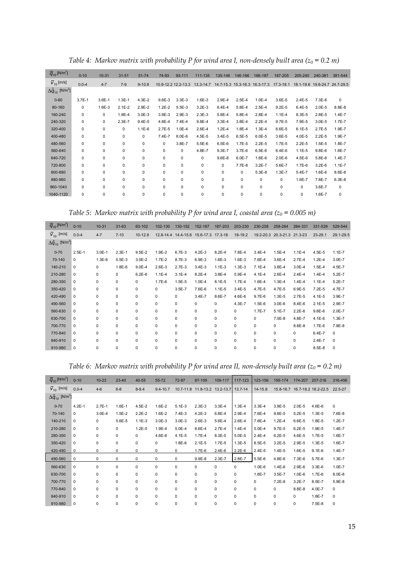| $\overline{q}_{10}$ [N/m <sup>2</sup> ]   | $0 - 10$   | $10 - 31$  | $31 - 51$  | $51 - 74$  | 74-93      | 93-111              | 111-135    | 135-146                                           | 146-166    | 166-187    | 187-205    | 205-240                       | 240-381    | 381-544     |
|-------------------------------------------|------------|------------|------------|------------|------------|---------------------|------------|---------------------------------------------------|------------|------------|------------|-------------------------------|------------|-------------|
| $\overline{V}_{10}$ [m/s]                 | $0.0 - 4$  | $4 - 7$    | $7-9$      | $9 - 10.9$ |            | 10.9-12.2 12.2-13.3 |            | 13.3-14.7 14.7-15.3 15.3-16.3 16.3-17.3 17.3-18.1 |            |            |            | 18.1-19.6 19.6-24.7 24.7-29.5 |            |             |
| $\Delta \hat{q}_{10}$ [N/m <sup>2</sup> ] |            |            |            |            |            |                     |            |                                                   |            |            |            |                               |            |             |
| $0 - 80$                                  | $3.7E - 1$ | $3.6E - 1$ | $1.3E - 1$ | $4.3E - 2$ | $9.6E - 3$ | $3.3E - 3$          | $1.6E - 3$ | 2.9E-4                                            | $2.5E - 4$ | $1.0E - 4$ | $3.6E - 5$ | $2.4E - 5$                    | $7.3E-6$   | $\mathbf 0$ |
| 80-160                                    | 0          | $1.6E - 3$ | $2.1E - 2$ | 2.9E-2     | $1.2E - 2$ | $5.5E-3$            | $3.2E - 3$ | $6.4E - 4$                                        | 5.8E-4     | $2.5E - 4$ | $9.2E - 5$ | $6.4E - 5$                    | $2.0E - 5$ | $8.8E - 8$  |
| 160-240                                   | 0          | 0          | 1.9E-4     | $3.0E - 3$ | $3.9E-3$   | $2.9E-3$            | $2.3E-3$   | 5.8E-4                                            | $5.8E - 4$ | 2.8E-4     | $1.1E - 4$ | 8.3E-5                        | 2.8E-5     | $1.4E - 7$  |
| 240-320                                   | 0          | 0          | $2.3E - 7$ | $9.4E - 5$ | 4.8E-4     | $7.4E - 4$          | $9.8E - 4$ | $3.3E - 4$                                        | $3.8E - 4$ | $2.2E - 4$ | $9.7E - 5$ | 7.9E-5                        | $3.0E - 5$ | $1.7E - 7$  |
| 320-400                                   | 0          | 0          | 0          | $1.1E-6$   | $2.7E - 5$ | $1.0E - 4$          | $2.6E - 4$ | $1.2E - 4$                                        | $1.8E - 4$ | $1.3E - 4$ | $6.6E - 5$ | $6.1E - 5$                    | $2.7E-5$   | 1.9E-7      |
| 400-480                                   | 0          | 0          | 0          | 0          | $7.4E - 7$ | $8.0E - 6$          | $4.5E - 5$ | $3.4E - 5$                                        | $6.5E - 5$ | $6.0E - 5$ | $3.6E - 5$ | $4.0E - 5$                    | $2.2E - 5$ | 1.9E-7      |
| 480-560                                   | 0          | 0          | 0          | 0          | 0          | 3.8E-7              | $5.5E - 6$ | $6.5E-6$                                          | $1.7E - 5$ | $2.2E-5$   | 1.7E-5     | $2.2E - 5$                    | $1.5E - 5$ | 1.8E-7      |
| 560-640                                   | 0          | 0          | 0          | 0          | 0          | 0                   | 4.8E-7     | $9.3E - 7$                                        | $3.7E-6$   | $6.5E - 6$ | $6.4E - 6$ | $1.1E - 5$                    | $9.8E - 6$ | 1.6E-7      |
| 640-720                                   | 0          | 0          | 0          | 0          | 0          | 0                   | 0          | $9.6E - 8$                                        | $6.0E - 7$ | $1.6E - 6$ | $2.0E-6$   | $4.5E - 6$                    | 5.8E-6     | $1.4E - 7$  |
| 720-800                                   | 0          | 0          | 0          | 0          | 0          | 0                   | 0          | $\mathbf 0$                                       | $7.7E-8$   | $3.2E - 7$ | 5.6E-7     | $1.7E-6$                      | $3.2E - 6$ | $1.1E - 7$  |
| 800-880                                   | 0          | 0          | 0          | 0          | 0          | 0                   | 0          | 0                                                 | 0          | $5.3E-8$   | $1.3E - 7$ | $5.4E - 7$                    | 1.6E-6     | $8.6E - 8$  |
| 880-960                                   | 0          | 0          | $\Omega$   | 0          | 0          | 0                   | 0          | 0                                                 | 0          | $\Omega$   | 0          | 1.6E-7                        | 7.8E-7     | $6.3E - 8$  |
| 960-1040                                  | 0          | 0          | 0          | 0          | 0          | 0                   | 0          | 0                                                 | 0          | 0          | 0          | 0                             | 3.6E-7     | 0           |
| 1040-1120                                 | 0          | 0          | $\Omega$   | 0          | 0          | 0                   | 0          | 0                                                 | 0          | $\Omega$   | $\Omega$   | $\Omega$                      | 1.6E-7     | 0           |

*Table 4: Markov matrix with probability P for wind area I, non-densely built area*  $(z_0 = 0.2 \, m)$ 

*Table 5: Markov matrix with probability P for wind area I, coastal area (* $z_0$  *= 0.005 m)* 

| $\overline{q}_{10}$ [N/m <sup>2</sup> ]   | $0 - 10$    | $10 - 31$   | $31 - 63$   | 63-102     | 102-130     | 130-152                               | 152-187    | 187-203     | 203-230     | 230-258    | 258-284                     | 284-331    | 331-529     | 529-544     |
|-------------------------------------------|-------------|-------------|-------------|------------|-------------|---------------------------------------|------------|-------------|-------------|------------|-----------------------------|------------|-------------|-------------|
| $\overline{V}_{10}$ [m/s]                 | $0.0 - 4$   | $4 - 7$     | $7 - 10$    | $10-12.8$  |             | 12.8-14.4 14.4-15.6 15.6-17.3 17.3-18 |            |             | 18-19.2     |            | 19.2-20.3 20.3-21.3 21.3-23 |            | $23 - 29.1$ | 29.1-29.5   |
| $\Delta \hat{q}_{10}$ [N/m <sup>2</sup> ] |             |             |             |            |             |                                       |            |             |             |            |                             |            |             |             |
| $0 - 70$                                  | $2.5E-1$    | $3.0E - 1$  | $2.3E-1$    | $9.5E - 2$ | $1.9E - 2$  | $6.7E-3$                              | $4.2E - 3$ | $8.2E - 4$  | 7.8E-4      | $3.4E - 4$ | $1.5E - 4$                  | $1.1E - 4$ | 4.5E-5      | $1.1E - 7$  |
| 70-140                                    | $\Omega$    | $1.3E-6$    | $5.5E-3$    | $3.0E - 2$ | $1.7E - 2$  | 8.7E-3                                | $6.9E - 3$ | $1.6E-3$    | $1.6E-3$    | 7.6E-4     | $3.6E - 4$                  | $2.7E-4$   | $1.2E - 4$  | $3.0E - 7$  |
| 140-210                                   | $\Omega$    | 0           | $1.8E - 6$  | $9.0E - 4$ | $2.6E - 3$  | $2.7E-3$                              | $3.4E - 3$ | $1.1E-3$    | $1.3E-3$    | $7.1E-4$   | $3.8E - 4$                  | $3.0E - 4$ | $1.5E - 4$  | 4.5E-7      |
| 210-280                                   | $\mathbf 0$ | 0           | $\mathbf 0$ | $6.2E - 6$ | $1.1E - 4$  | $3.1E - 4$                            | $8.2E - 4$ | $3.8E - 4$  | 5.9E-4      | $4.1E - 4$ | $2.6E - 4$                  | $2.4E - 4$ | $1.4E - 4$  | $5.2E - 7$  |
| 280-350                                   | $\mathbf 0$ | 0           | $\mathbf 0$ | 0          | $1.7E-6$    | $1.5E-5$                              | $1.0E - 4$ | $8.1E - 5$  | $1.7E - 4$  | 1.6E-4     | $1.3E - 4$                  | $1.4E - 4$ | $1.1E - 4$  | $5.2E - 7$  |
| 350-420                                   | $\mathbf 0$ | 0           | $\mathbf 0$ | 0          | 0           | $3.5E - 7$                            | 7.6E-6     | $1.1E-5$    | $3.4E-5$    | 4.7E-5     | 4.7E-5                      | 6.9E-5     | $7.2E-5$    | 4.7E-7      |
| 420-490                                   | $^{\circ}$  | 0           | $\mathbf 0$ | 0          | $\mathbf 0$ | $\mathbf 0$                           | $3.4E - 7$ | 8.6E-7      | 4.6E-6      | $9.7E-6$   | $1.3E-5$                    | $2.7E-5$   | 4.1E-5      | 3.9E-7      |
| 490-560                                   | $^{\circ}$  | 0           | $\mathbf 0$ | 0          | $\mathbf 0$ | 0                                     | 0          | $\mathbf 0$ | 4.3E-7      | $1.5E-6$   | $3.0E-6$                    | $8.4E - 6$ | $2.1E-5$    | 2.9E-7      |
| 560-630                                   | $^{\circ}$  | 0           | $\mathbf 0$ | 0          | 0           | 0                                     | 0          | $\mathbf 0$ | $\mathbf 0$ | $1.7E - 7$ | $5.1E - 7$                  | $2.2E - 6$ | $9.6E - 6$  | $2.0E - 7$  |
| 630-700                                   | $^{\circ}$  | $\mathbf 0$ | $\mathbf 0$ | 0          | $\mathbf 0$ | 0                                     | 0          | $\mathbf 0$ | 0           | 0          | 7.0E-8                      | 4.8E-7     | 4.1E-6      | $1.3E - 7$  |
| 700-770                                   | $^{\circ}$  | 0           | $\mathbf 0$ | 0          | $\mathbf 0$ | 0                                     | 0          | $\mathbf 0$ | $\mathbf 0$ | 0          | 0                           | $8.8E - 8$ | $1.7E-6$    | 7.8E-8      |
| 770-840                                   | $^{\circ}$  | 0           | $\mathbf 0$ | 0          | 0           | $\mathbf 0$                           | 0          | 0           | $\mathbf 0$ | 0          | 0                           | 0          | $6.4E - 7$  | $\mathbf 0$ |
| 840-910                                   | $^{\circ}$  | 0           | $\mathbf 0$ | 0          | 0           | 0                                     | 0          | $\mathbf 0$ | $\mathbf 0$ | 0          | 0                           | 0          | $2.4E - 7$  | $\Omega$    |
| 910-980                                   | $\mathbf 0$ | 0           | 0           | 0          | 0           | 0                                     | 0          | 0           | 0           | 0          | 0                           | 0          | $8.5E-8$    | $\mathbf 0$ |

*Table 6: Markov matrix with probability P for wind area II, non-densely built area* ( $z_0$  = 0.2 *m*)

| $\overline{q}_{10}$ [N/m <sup>2</sup> ]   | $0 - 10$    | $10 - 23$  | 23-40       | $40 - 55$   | 55-72        | 72-87       | 87-109                        | 109-117     | 117-123     | 123-156     | 156-174     | 174-207    | 207-316                       | 316-456     |
|-------------------------------------------|-------------|------------|-------------|-------------|--------------|-------------|-------------------------------|-------------|-------------|-------------|-------------|------------|-------------------------------|-------------|
| $\overline{V}_{10}$ [m/s]                 | $0.0 - 4$   | $4 - 6$    | $6 - 8$     | $8 - 9.4$   | $9.4 - 10.7$ |             | 10.7-11.8 11.8-13.2 13.2-13.7 |             | $13.7 - 14$ | 14-15.8     |             |            | 15.8-16.7 16.7-18.2 18.2-22.5 | 22.5-27     |
| $\Delta \hat{q}_{10}$ [N/m <sup>2</sup> ] |             |            |             |             |              |             |                               |             |             |             |             |            |                               |             |
| $0 - 70$                                  | $4.2E - 1$  | $2.7E-1$   | $1.6E - 1$  | $4.5E - 2$  | $1.6E - 2$   | $5.1E-3$    | $2.3E - 3$                    | $3.3E - 4$  | $1.3E - 4$  | $3.3E - 4$  | 3.9E-5      | $2.0E - 5$ | 4.6E-6                        | 0           |
| 70-140                                    | $\Omega$    | $3.0E - 4$ | $1.5E - 2$  | $2.2E - 2$  | $1.6E - 2$   | $7.4E - 3$  | $4.2E - 3$                    | 6.8E-4      | $2.9E - 4$  | 7.6E-4      | $9.8E - 5$  | $5.2E - 5$ | $1.3E - 5$                    | 7.6E-8      |
| 140-210                                   | 0           | 0          | $5.6E - 5$  | $1.1E-3$    | $3.0E-3$     | $3.0E-3$    | $2.6E-3$                      | 5.6E-4      | $2.6E - 4$  | 7.6E-4      | $1.2E - 4$  | $6.6E - 5$ | 1.8E-5                        | $1.2E - 7$  |
| 210-280                                   | 0           | $\Omega$   | 0           | $1.2E - 5$  | $1.9E - 4$   | $5.0E - 4$  | 8.6E-4                        | $2.7E-4$    | $1.4E - 4$  | $5.0E - 4$  | $9.7E - 5$  | $6.2E - 5$ | 1.9E-5                        | $1.4E - 7$  |
| 280-350                                   | 0           | 0          | $\mathbf 0$ | 0           | $4.6E - 6$   | $4.1E - 5$  | $1.7E-4$                      | 8.3E-5      | $5.0E - 5$  | $2.4E - 4$  | $6.2E - 5$  | 4.6E-5     | $1.7E-5$                      | 1.6E-7      |
| 350-420                                   | 0           | 0          | $\mathbf 0$ | 0           | $\mathbf 0$  | 1.8E-6      | $2.1E-5$                      | $1.7E-5$    | $1.3E - 5$  | 8.5E-5      | $3.2E - 5$  | 2.9E-5     | $1.3E - 5$                    | 1.6E-7      |
| 420-490                                   | 0           | 0          | 0           | 0           | $\mathbf 0$  | 0           | $1.7E-6$                      | $2.4E - 6$  | $2.2E-6$    | $2.4E - 5$  | $1.4E - 5$  | 1.6E-5     | $9.1E-6$                      | 1.4E-7      |
| 490-560                                   | $\mathbf 0$ | 0          | 0           | 0           | $\mathbf 0$  | 0           | $9.9E - 8$                    | $2.3E - 7$  | 2.8E-7      | $5.5E-6$    | $4.8E - 6$  | 7.3E-6     | 5.7E-6                        | $1.3E - 7$  |
| 560-630                                   | 0           | $\Omega$   | $\mathbf 0$ | $\mathbf 0$ | $\mathbf 0$  | 0           | 0                             | 0           | 0           | $1.0E-6$    | $1.4E - 6$  | 2.9E-6     | $3.3E-6$                      | $1.0E - 7$  |
| 630-700                                   | 0           | $\Omega$   | $\mathbf 0$ | 0           | 0            | $\mathbf 0$ | 0                             | $\mathbf 0$ | $\Omega$    | 1.6E-7      | $3.5E - 7$  | $1.0E-6$   | $1.7E-6$                      | $8.0E - 8$  |
| 700-770                                   | $\mathbf 0$ | 0          | $\mathbf 0$ | 0           | $\mathbf 0$  | 0           | 0                             | 0           | 0           | 0           | $7.2E-8$    | $3.2E - 7$ | 8.5E-7                        | 5.9E-8      |
| 770-840                                   | 0           | 0          | $\mathbf 0$ | 0           | 0            | $\mathbf 0$ | 0                             | 0           | 0           | 0           | $\mathbf 0$ | 8.8E-8     | 4.0E-7                        | 0           |
| 840-910                                   | 0           | 0          | $\mathbf 0$ | 0           | $\mathbf 0$  | 0           | 0                             | $\mathbf 0$ | 0           | $\mathbf 0$ | $\mathbf 0$ | 0          | 1.8E-7                        | 0           |
| 910-980                                   | $\Omega$    | 0          | $\Omega$    | $\mathbf 0$ | 0            | $\mathbf 0$ | $\mathbf 0$                   | 0           | 0           | $\mathbf 0$ | $\mathbf 0$ | 0          | 7.5E-8                        | $\mathbf 0$ |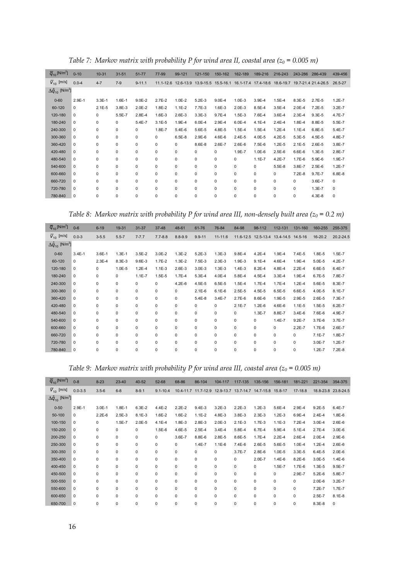| $\overline{q}_{10}$ [N/m <sup>2</sup> ]   | $0 - 10$    | $10 - 31$  | $31 - 51$   | $51 - 77$  | 77-99       | 99-121                                  | 121-150     | 150-162    | 162-189     | 189-216             | 216-243    | 243-286    | 286-439                       | 439-456    |
|-------------------------------------------|-------------|------------|-------------|------------|-------------|-----------------------------------------|-------------|------------|-------------|---------------------|------------|------------|-------------------------------|------------|
| $\overline{V}_{10}$ [m/s]                 | $0.0 - 4$   | $4 - 7$    | $7-9$       | $9 - 11.1$ |             | 11.1-12.6 12.6-13.9 13.9-15.5 15.5-16.1 |             |            |             | 16.1-17.4 17.4-18.6 |            |            | 18.6-19.7 19.7-21.4 21.4-26.5 | 26.5-27    |
| $\Delta \hat{q}_{10}$ [N/m <sup>2</sup> ] |             |            |             |            |             |                                         |             |            |             |                     |            |            |                               |            |
| $0 - 60$                                  | $2.9E - 1$  | $3.3E - 1$ | $1.6E - 1$  | $9.0E - 2$ | $2.7E - 2$  | $1.0E - 2$                              | $5.2E-3$    | $9.0E - 4$ | $1.0E-3$    | $3.9E - 4$          | $1.5E-4$   | 8.3E-5     | $2.7E-5$                      | $1.2E - 7$ |
| 60-120                                    | 0           | $2.1E-5$   | $3.8E - 3$  | $2.0E-2$   | 1.8E-2      | $1.1E-2$                                | 7.7E-3      | 1.6E-3     | $2.0E-3$    | 8.5E-4              | $3.5E-4$   | $2.0E-4$   | $7.2E - 5$                    | $3.2E - 7$ |
| 120-180                                   | $\mathbf 0$ | 0          | $5.5E - 7$  | $2.8E - 4$ | $1.6E-3$    | $2.6E - 3$                              | $3.3E - 3$  | $9.7E - 4$ | $1.5E-3$    | 7.6E-4              | $3.6E - 4$ | $2.3E - 4$ | $9.3E - 5$                    | 4.7E-7     |
| 180-240                                   | 0           | 0          | $\mathbf 0$ | 5.4E-7     | $3.1E - 5$  | 1.9E-4                                  | $6.0E - 4$  | 2.9E-4     | $6.0E - 4$  | 4.1E-4              | $2.4E - 4$ | 1.8E-4     | 8.8E-5                        | 5.5E-7     |
| 240-300                                   | 0           | 0          | $\mathbf 0$ | 0          | 1.8E-7      | $5.4E-6$                                | $5.6E - 5$  | 4.8E-5     | $1.5E - 4$  | $1.5E - 4$          | $1.2E - 4$ | $1.1E - 4$ | 6.8E-5                        | 5.4E-7     |
| 300-360                                   | 0           | 0          | $\mathbf 0$ | 0          | $\mathbf 0$ | $6.5E-8$                                | $2.9E - 6$  | 4.6E-6     | $2.4E-5$    | 4.0E-5              | $4.2E - 5$ | $5.3E - 5$ | 4.5E-5                        | 4.8E-7     |
| 360-420                                   | 0           | 0          | $\mathbf 0$ | 0          | $\mathbf 0$ | 0                                       | $8.6E - 8$  | 2.6E-7     | $2.6E - 6$  | $7.5E-6$            | $1.2E - 5$ | $2.1E - 5$ | $2.6E - 5$                    | 3.8E-7     |
| 420-480                                   | 0           | 0          | $\mathbf 0$ | 0          | $\mathbf 0$ | 0                                       | 0           | 0          | 1.9E-7      | $1.0E - 6$          | $2.5E - 6$ | $6.6E - 6$ | $1.3E - 5$                    | 2.8E-7     |
| 480-540                                   | 0           | 0          | $\mathbf 0$ | 0          | $\mathbf 0$ | 0                                       | $\mathbf 0$ | 0          | $\mathbf 0$ | $1.1E - 7$          | $4.2E - 7$ | $1.7E-6$   | $5.9E-6$                      | 1.9E-7     |
| 540-600                                   | $\mathbf 0$ | 0          | $\mathbf 0$ | 0          | $\mathbf 0$ | 0                                       | $\mathbf 0$ | 0          | $\mathbf 0$ | 0                   | $5.5E-8$   | 3.8E-7     | $2.5E-6$                      | $1.2E - 7$ |
| 600-660                                   | $\mathbf 0$ | $\Omega$   | $\mathbf 0$ | 0          | $\mathbf 0$ | 0                                       | $\mathbf 0$ | 0          | $\mathbf 0$ | 0                   | $\Omega$   | $7.2E-8$   | $9.7E - 7$                    | $6.8E - 8$ |
| 660-720                                   | 0           | 0          | $\mathbf 0$ | 0          | $\mathbf 0$ | 0                                       | $\mathbf 0$ | 0          | $\mathbf 0$ | 0                   | 0          | 0          | $3.6E - 7$                    | $\Omega$   |
| 720-780                                   | $\mathbf 0$ | 0          | $\mathbf 0$ | 0          | $\mathbf 0$ | 0                                       | $\mathbf 0$ | 0          | $\mathbf 0$ | 0                   | 0          | 0          | $1.3E - 7$                    | $\Omega$   |
| 780-840                                   | 0           | 0          | 0           | 0          | 0           | 0                                       | 0           | 0          | $\mathbf 0$ | 0                   | 0          | 0          | $4.3E - 8$                    | 0          |

*Table 7: Markov matrix with probability P for wind area II, coastal area*  $(z_0 = 0.005 \, m)$ 

*Table 8: Markov matrix with probability P for wind area III, non-densely built area*  $(z_0 = 0.2 \, m)$ 

| $\overline{q}_{10}$ [N/m <sup>2</sup> ]   | $0 - 6$     | $6 - 19$   | $19 - 31$   | $31 - 37$   | $37 - 48$   | 48-61       | 61-76      | 76-84       | 84-98       | 98-112                                | 112-131    | 131-160    | 160-255     | 255-375       |
|-------------------------------------------|-------------|------------|-------------|-------------|-------------|-------------|------------|-------------|-------------|---------------------------------------|------------|------------|-------------|---------------|
| $\overline{V}_{10}$ [m/s]                 | $0.0 - 3$   | $3 - 5.5$  | $5.5 - 7$   | $7 - 7.7$   | $7.7 - 8.8$ | $8.8 - 9.9$ | $9.9 - 11$ | $11 - 11.6$ |             | 11.6-12.5 12.5-13.4 13.4-14.5 14.5-16 |            |            | $16 - 20.2$ | $20.2 - 24.5$ |
| $\Delta \hat{q}_{10}$ [N/m <sup>2</sup> ] |             |            |             |             |             |             |            |             |             |                                       |            |            |             |               |
| $0 - 60$                                  | $3.4E - 1$  | $3.6E-1$   | $1.3E - 1$  | $3.5E-2$    | $3.0E - 2$  | $1.3E - 2$  | $5.2E-3$   | $1.3E-3$    | $9.8E - 4$  | $4.2E - 4$                            | 1.9E-4     | $7.4E - 5$ | $1.8E - 5$  | $1.5E - 7$    |
| 60-120                                    | $\Omega$    | $2.3E - 4$ | $8.3E - 3$  | $9.6E - 3$  | $1.7E - 2$  | $1.3E - 2$  | $7.5E-3$   | $2.3E-3$    | $1.9E-3$    | $9.1E - 4$                            | 4.6E-4     | $1.9E - 4$ | $5.0E - 5$  | $4.2E - 7$    |
| 120-180                                   | $\Omega$    | $\Omega$   | $1.0E-5$    | $1.2E - 4$  | $1.1E-3$    | 2.6E-3      | $3.0E-3$   | $1.3E-3$    | $1.4E-3$    | $8.2E - 4$                            | 4.8E-4     | $2.2E - 4$ | $6.6E - 5$  | $6.4E - 7$    |
| 180-240                                   | $\mathbf 0$ | 0          | 0           | $1.1E - 7$  | $1.5E - 5$  | $1.7E-4$    | $5.3E - 4$ | 4.0E-4      | 5.8E-4      | 4.5E-4                                | $3.3E-4$   | 1.9E-4     | 6.7E-5      | 7.8E-7        |
| 240-300                                   | $\Omega$    | $\Omega$   | $\mathbf 0$ | 0           | $\Omega$    | $4.2E - 6$  | $4.5E - 5$ | $6.5E - 5$  | $1.5E - 4$  | $1.7E-4$                              | $1.7E-4$   | $1.2E - 4$ | $5.6E - 5$  | 8.3E-7        |
| 300-360                                   | $\mathbf 0$ | 0          | 0           | 0           | 0           | 0           | $2.1E-6$   | $6.1E-6$    | $2.5E-5$    | 4.5E-5                                | $6.5E - 5$ | $6.6E - 5$ | 4.0E-5      | $8.1E - 7$    |
| 360-420                                   | $\mathbf 0$ | 0          | 0           | 0           | 0           | 0           | $5.4E - 8$ | $3.4E - 7$  | $2.7E-6$    | $8.6E - 6$                            | 1.9E-5     | 2.9E-5     | 2.6E-5      | 7.3E-7        |
| 420-480                                   | $\mathbf 0$ | 0          | 0           | $\mathbf 0$ | 0           | 0           | 0          | 0           | $2.1E - 7$  | $1.2E-6$                              | 4.6E-6     | $1.1E-5$   | $1.5E-5$    | $6.2E - 7$    |
| 480-540                                   | $\Omega$    | 0          | 0           | $\mathbf 0$ | 0           | 0           | 0          | $\mathbf 0$ | $\mathbf 0$ | 1.3E-7                                | 8.8E-7     | $3.4E - 6$ | 7.6E-6      | 4.9E-7        |
| 540-600                                   | 0           | 0          | 0           | 0           | 0           | 0           | 0          | $\mathbf 0$ | 0           | 0                                     | $1.4E - 7$ | $9.2E - 7$ | $3.7E-6$    | $3.7E - 7$    |
| 600-660                                   | 0           | 0          | 0           | 0           | 0           | 0           | 0          | $\mathbf 0$ | $\mathbf 0$ | 0                                     | 0          | $2.2E - 7$ | $1.7E-6$    | 2.6E-7        |
| 660-720                                   | $\mathbf 0$ | 0          | 0           | 0           | 0           | 0           | 0          | $\mathbf 0$ | $\mathbf 0$ | 0                                     | 0          | 0          | $7.1E-7$    | 1.8E-7        |
| 720-780                                   | $\mathbf 0$ | 0          | 0           | $\mathbf 0$ | 0           | 0           | 0          | $\mathbf 0$ | $\mathbf 0$ | 0                                     | 0          | 0          | $3.0E - 7$  | $1.2E - 7$    |
| 780-840                                   | 0           | 0          | 0           | $\mathbf 0$ | 0           | 0           | 0          | 0           | $\mathbf 0$ | 0                                     | 0          | 0          | $1.2E - 7$  | $7.2E-8$      |
|                                           |             |            |             |             |             |             |            |             |             |                                       |            |            |             |               |

*Table 9: Markov matrix with probability P for wind area III, coastal area*  $(z_0 = 0.005 \, m)$ 

| $\overline{q}_{10}$ [N/m <sup>2</sup> ]   | $0 - 8$     | $8 - 23$    | $23 - 40$   | 40-52       | $52 - 68$    | 68-86      | 86-104      | 104-117                                                   | 117-135    | 135-156     | 156-181     | 181-221    | 221-354    | 354-375             |
|-------------------------------------------|-------------|-------------|-------------|-------------|--------------|------------|-------------|-----------------------------------------------------------|------------|-------------|-------------|------------|------------|---------------------|
| $V_{10}$ [m/s]                            | $0.0 - 3.5$ | $3.5 - 6$   | $6 - 8$     | $8 - 9.1$   | $9.1 - 10.4$ |            |             | 10.4-11.7 11.7-12.9 12.9-13.7 13.7-14.7 14.7-15.8 15.8-17 |            |             |             | 17-18.8    |            | 18.8-23.8 23.8-24.5 |
| $\Delta \hat{q}_{10}$ [N/m <sup>2</sup> ] |             |             |             |             |              |            |             |                                                           |            |             |             |            |            |                     |
| $0 - 50$                                  | $2.9E - 1$  | $3.0E-1$    | $1.8E-1$    | $6.3E - 2$  | 4.4E-2       | $2.2E-2$   | $9.4E - 3$  | $3.2E - 3$                                                | $2.2E-3$   | $1.2E-3$    | 5.6E-4      | 2.9E-4     | $9.2E - 5$ | $6.4E - 7$          |
| 50-100                                    | 0           | $2.2E - 6$  | $2.5E-3$    | $8.1E-3$    | $1.6E - 2$   | $1.6E - 2$ | $1.1E - 2$  | 4.8E-3                                                    | $3.8E - 3$ | $2.3E-3$    | $1.2E - 3$  | 6.9E-4     | $2.4E - 4$ | $1.8E - 6$          |
| 100-150                                   | 0           | 0           | $1.5E - 7$  | $2.0E - 5$  | $4.1E - 4$   | $1.8E - 3$ | $2.8E - 3$  | $2.0E-3$                                                  | $2.1E-3$   | $1.7E-3$    | $1.1E-3$    | $7.2E - 4$ | $3.0E - 4$ | $2.6E - 6$          |
| 150-200                                   | 0           | 0           | $\mathbf 0$ | 0           | $1.5E-6$     | 4.6E-5     | $2.5E - 4$  | $3.4E - 4$                                                | $5.8E - 4$ | 6.7E-4      | 5.9E-4      | $5.1E - 4$ | $2.7E-4$   | $3.0E - 6$          |
| 200-250                                   | 0           | $\mathbf 0$ | $\mathbf 0$ | 0           | 0            | 3.6E-7     | $8.8E - 6$  | $2.8E - 5$                                                | 8.6E-5     | $1.7E - 4$  | $2.2E-4$    | $2.6E - 4$ | $2.0E - 4$ | $2.9E - 6$          |
| 250-300                                   | $\Omega$    | $\mathbf 0$ | $\mathbf 0$ | 0           | 0            | 0          | $1.4E - 7$  | $1.1E - 6$                                                | $7.4E - 6$ | 2.6E-5      | 5.6E-5      | $1.0E - 4$ | $1.2E - 4$ | $2.6E - 6$          |
| 300-350                                   | 0           | $\mathbf 0$ | $\mathbf 0$ | 0           | 0            | 0          | 0           | 0                                                         | $3.7E - 7$ | $2.8E - 6$  | $1.0E-5$    | $3.3E - 5$ | $6.4E - 5$ | $2.0E - 6$          |
| 350-400                                   | 0           | $\mathbf 0$ | $\mathbf 0$ | 0           | 0            | 0          | $\mathbf 0$ | 0                                                         | 0          | 2.0E-7      | $1.4E - 6$  | $8.2E - 6$ | $3.0E - 5$ | $1.4E - 6$          |
| 400-450                                   | 0           | $\mathbf 0$ | $\mathbf 0$ | 0           | 0            | 0          | $\mathbf 0$ | 0                                                         | 0          | 0           | $1.5E-7$    | 1.7E-6     | $1.3E-5$   | $9.5E - 7$          |
| 450-500                                   | 0           | $\mathbf 0$ | $\mathbf 0$ | 0           | 0            | $\Omega$   | $\mathbf 0$ | 0                                                         | 0          | 0           | 0           | 2.9E-7     | $5.2E - 6$ | 5.8E-7              |
| 500-550                                   | 0           | $\mathbf 0$ | $\mathbf 0$ | 0           | 0            | $\Omega$   | $\mathbf 0$ | 0                                                         | 0          | 0           | $\mathbf 0$ | 0          | $2.0E-6$   | $3.2E - 7$          |
| 550-600                                   | 0           | $\mathbf 0$ | $\mathbf 0$ | 0           | 0            | 0          | 0           | 0                                                         | 0          | $\mathbf 0$ | 0           | 0          | 7.2E-7     | $1.7E - 7$          |
| 600-650                                   | 0           | $\mathbf 0$ | $\mathbf 0$ | 0           | 0            | 0          | $\mathbf 0$ | 0                                                         | 0          | $\mathbf 0$ | 0           | 0          | $2.5E-7$   | $8.1E - 8$          |
| 650-700                                   | 0           | 0           | 0           | $\mathbf 0$ | 0            | $\Omega$   | $\mathbf 0$ | $\Omega$                                                  | 0          | $\mathbf 0$ | 0           | 0          | $8.3E - 8$ | $\Omega$            |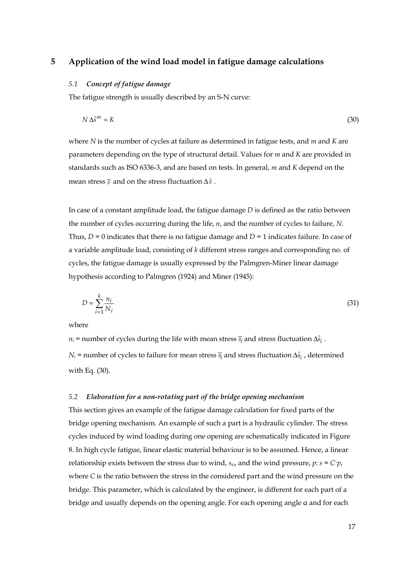# **5 Application of the wind load model in fatigue damage calculations**

## *5.1 Concept of fatigue damage*

The fatigue strength is usually described by an S-N curve:

$$
N \Delta \hat{s}^m = K \tag{30}
$$

where *N* is the number of cycles at failure as determined in fatigue tests, and *m* and *K* are parameters depending on the type of structural detail. Values for *m* and *K* are provided in standards such as ISO 6336-3, and are based on tests. In general, *m* and *K* depend on the mean stress *s* and on the stress fluctuation Δ*s*ˆ .

In case of a constant amplitude load, the fatigue damage *D* is defined as the ratio between the number of cycles occurring during the life, *n*, and the number of cycles to failure, *N*. Thus,  $D = 0$  indicates that there is no fatigue damage and  $D = 1$  indicates failure. In case of a variable amplitude load, consisting of *k* different stress ranges and corresponding no. of cycles, the fatigue damage is usually expressed by the Palmgren-Miner linear damage hypothesis according to Palmgren (1924) and Miner (1945):

$$
D = \sum_{i=1}^{k} \frac{n_i}{N_i} \tag{31}
$$

where

 $n_i$  = number of cycles during the life with mean stress  $\overline{s_i}$  and stress fluctuation  $\Delta \hat{s}_i$ .  $N_i$  = number of cycles to failure for mean stress  $\overline{s_i}$  and stress fluctuation  $\Delta \hat{s}_i$ , determined with Eq. (30).

#### *5.2 Elaboration for a non-rotating part of the bridge opening mechanism*

This section gives an example of the fatigue damage calculation for fixed parts of the bridge opening mechanism. An example of such a part is a hydraulic cylinder. The stress cycles induced by wind loading during one opening are schematically indicated in Figure 8. In high cycle fatigue, linear elastic material behaviour is to be assumed. Hence, a linear relationship exists between the stress due to wind,  $s_w$ , and the wind pressure,  $p$ :  $s = C<sup>\cdot</sup>p$ , where *C* is the ratio between the stress in the considered part and the wind pressure on the bridge. This parameter, which is calculated by the engineer, is different for each part of a bridge and usually depends on the opening angle. For each opening angle α and for each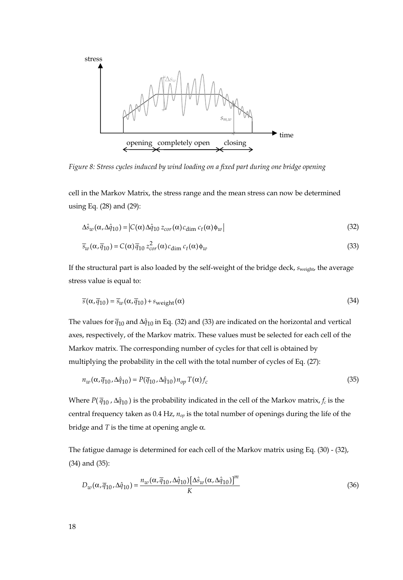

*Figure 8: Stress cycles induced by wind loading on a fixed part during one bridge opening* 

cell in the Markov Matrix, the stress range and the mean stress can now be determined using Eq. (28) and (29):

$$
\Delta \hat{s}_w(\alpha, \Delta \hat{q}_{10}) = |C(\alpha) \Delta \hat{q}_{10} z_{cor}(\alpha) c_{\dim} c_t(\alpha) \phi_w|
$$
\n(32)

$$
\overline{s}_w(\alpha, \overline{q}_{10}) = C(\alpha) \overline{q}_{10} z_{cor}^2(\alpha) c_{\dim} c_t(\alpha) \phi_w
$$
\n(33)

If the structural part is also loaded by the self-weight of the bridge deck, *s*weight, the average stress value is equal to:

$$
\overline{s}(\alpha, \overline{q}_{10}) = \overline{s}_{w}(\alpha, \overline{q}_{10}) + s_{weight}(\alpha)
$$
\n(34)

The values for  $\bar{q}_{10}$  and  $\Delta \hat{q}_{10}$  in Eq. (32) and (33) are indicated on the horizontal and vertical axes, respectively, of the Markov matrix. These values must be selected for each cell of the Markov matrix. The corresponding number of cycles for that cell is obtained by multiplying the probability in the cell with the total number of cycles of Eq. (27):

$$
n_w(\alpha, \overline{q}_{10}, \Delta \hat{q}_{10}) = P(\overline{q}_{10}, \Delta \hat{q}_{10}) n_{op} T(\alpha) f_c
$$
\n(35)

Where  $P(\bar{q}_{10}, \Delta \hat{q}_{10})$  is the probability indicated in the cell of the Markov matrix,  $f_c$  is the central frequency taken as 0.4 Hz, *nop* is the total number of openings during the life of the bridge and *T* is the time at opening angle  $α$ .

The fatigue damage is determined for each cell of the Markov matrix using Eq. (30) - (32), (34) and (35):

$$
D_w(\alpha, \overline{q}_{10}, \Delta \hat{q}_{10}) = \frac{n_w(\alpha, \overline{q}_{10}, \Delta \hat{q}_{10}) [\Delta \hat{s}_w(\alpha, \Delta \hat{q}_{10})]^m}{K}
$$
(36)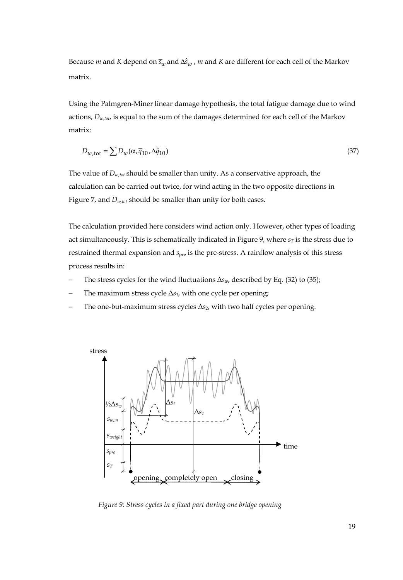Because *m* and *K* depend on  $\overline{s}_w$  and  $\Delta \hat{s}_w$  , *m* and *K* are different for each cell of the Markov matrix.

Using the Palmgren-Miner linear damage hypothesis, the total fatigue damage due to wind actions, *Dw,tot*, is equal to the sum of the damages determined for each cell of the Markov matrix:

$$
D_{w, \text{tot}} = \sum D_w (\alpha, \overline{q}_{10}, \Delta \hat{q}_{10}) \tag{37}
$$

The value of *Dw,tot* should be smaller than unity. As a conservative approach, the calculation can be carried out twice, for wind acting in the two opposite directions in Figure 7, and *Dw,tot* should be smaller than unity for both cases.

The calculation provided here considers wind action only. However, other types of loading act simultaneously. This is schematically indicated in Figure 9, where  $s_T$  is the stress due to restrained thermal expansion and *s*<sub>pre</sub> is the pre-stress. A rainflow analysis of this stress process results in:

- The stress cycles for the wind fluctuations Δ*s<sub>w*</sub>, described by Eq. (32) to (35);
- The maximum stress cycle  $\Delta s_1$ , with one cycle per opening;
- The one-but-maximum stress cycles  $\Delta s_2$ , with two half cycles per opening.



*Figure 9: Stress cycles in a fixed part during one bridge opening*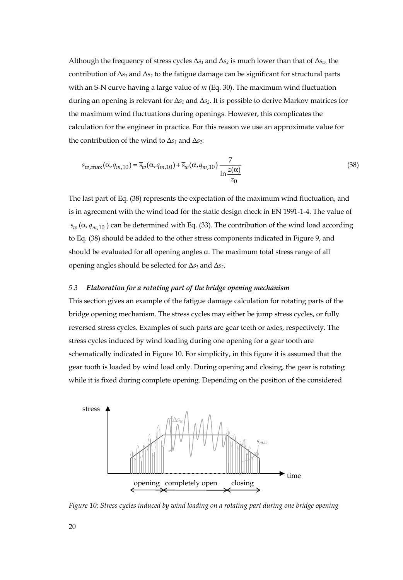Although the frequency of stress cycles  $\Delta s_1$  and  $\Delta s_2$  is much lower than that of  $\Delta s_w$  the contribution of  $\Delta s_1$  and  $\Delta s_2$  to the fatigue damage can be significant for structural parts with an S-N curve having a large value of *m* (Eq. 30). The maximum wind fluctuation during an opening is relevant for Δ*s1* and Δ*s2*. It is possible to derive Markov matrices for the maximum wind fluctuations during openings. However, this complicates the calculation for the engineer in practice. For this reason we use an approximate value for the contribution of the wind to  $\Delta s_1$  and  $\Delta s_2$ :

$$
s_{w,\max}(\alpha, q_{m,10}) = \overline{s}_w(\alpha, q_{m,10}) + \overline{s}_w(\alpha, q_{m,10}) \frac{7}{\ln \frac{z(\alpha)}{z_0}}
$$
(38)

The last part of Eq. (38) represents the expectation of the maximum wind fluctuation, and is in agreement with the wind load for the static design check in EN 1991-1-4. The value of  $\bar{s}_m$  ( $\alpha$ ,  $q_{m,10}$ ) can be determined with Eq. (33). The contribution of the wind load according to Eq. (38) should be added to the other stress components indicated in Figure 9, and should be evaluated for all opening angles α. The maximum total stress range of all opening angles should be selected for Δ*s1* and Δ*s2*.

# *5.3 Elaboration for a rotating part of the bridge opening mechanism*

This section gives an example of the fatigue damage calculation for rotating parts of the bridge opening mechanism. The stress cycles may either be jump stress cycles, or fully reversed stress cycles. Examples of such parts are gear teeth or axles, respectively. The stress cycles induced by wind loading during one opening for a gear tooth are schematically indicated in Figure 10. For simplicity, in this figure it is assumed that the gear tooth is loaded by wind load only. During opening and closing, the gear is rotating while it is fixed during complete opening. Depending on the position of the considered



*Figure 10: Stress cycles induced by wind loading on a rotating part during one bridge opening*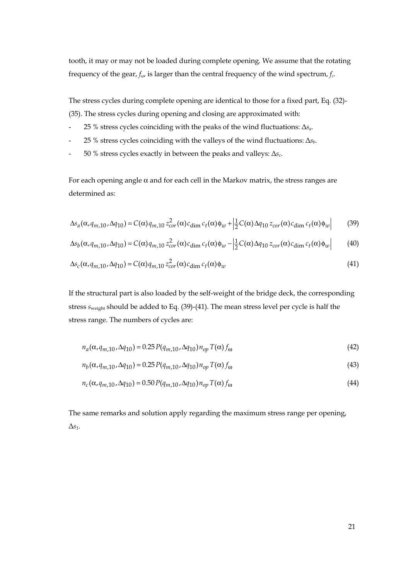tooth, it may or may not be loaded during complete opening. We assume that the rotating frequency of the gear, *fω*, is larger than the central frequency of the wind spectrum, *fc*.

The stress cycles during complete opening are identical to those for a fixed part, Eq. (32)- (35). The stress cycles during opening and closing are approximated with:

- 25 % stress cycles coinciding with the peaks of the wind fluctuations: Δ*sa*.
- 25 % stress cycles coinciding with the valleys of the wind fluctuations: Δ*sb*.
- 50 % stress cycles exactly in between the peaks and valleys: Δ*sc*.

For each opening angle  $\alpha$  and for each cell in the Markov matrix, the stress ranges are determined as:

$$
\Delta s_a(\alpha, q_{m,10}, \Delta q_{10}) = C(\alpha) q_{m,10} z_{cor}^2(\alpha) c_{\text{dim}} c_t(\alpha) \phi_w + \left| \frac{1}{2} C(\alpha) \Delta q_{10} z_{cor}(\alpha) c_{\text{dim}} c_t(\alpha) \phi_w \right| \tag{39}
$$

$$
\Delta s_b(\alpha, q_{m,10}, \Delta q_{10}) = C(\alpha) q_{m,10} z_{cor}^2(\alpha) c_{\text{dim}} c_t(\alpha) \phi_w - \left| \frac{1}{2} C(\alpha) \Delta q_{10} z_{cor}(\alpha) c_{\text{dim}} c_t(\alpha) \phi_w \right| \tag{40}
$$

$$
\Delta s_c(\alpha, q_{m,10}, \Delta q_{10}) = C(\alpha) q_{m,10} z_{cor}^2(\alpha) c_{\text{dim}} c_t(\alpha) \phi_w
$$
\n(41)

If the structural part is also loaded by the self-weight of the bridge deck, the corresponding stress *s*weight should be added to Eq. (39)-(41). The mean stress level per cycle is half the stress range. The numbers of cycles are:

$$
n_a(\alpha, q_{m,10}, \Delta q_{10}) = 0.25 P(q_{m,10}, \Delta q_{10}) n_{op} T(\alpha) f_{\omega}
$$
\n(42)

$$
n_b(\alpha, q_{m,10}, \Delta q_{10}) = 0.25 P(q_{m,10}, \Delta q_{10}) n_{op} T(\alpha) f_{\omega}
$$
\n(43)

$$
n_c(\alpha, q_{m,10}, \Delta q_{10}) = 0.50 P(q_{m,10}, \Delta q_{10}) n_{op} T(\alpha) f_{\omega}
$$
\n(44)

The same remarks and solution apply regarding the maximum stress range per opening, Δ*s1*.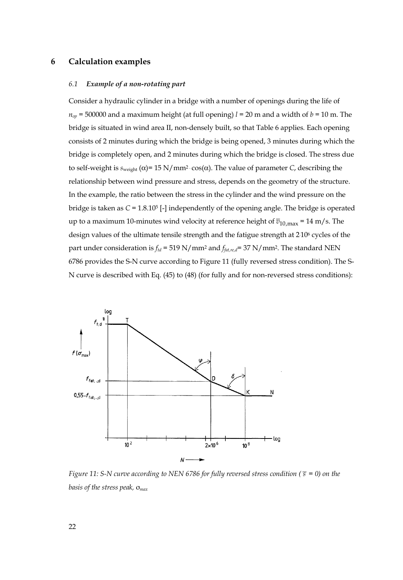## **6 Calculation examples**

#### *6.1 Example of a non-rotating part*

Consider a hydraulic cylinder in a bridge with a number of openings during the life of  $n_{op}$  = 500000 and a maximum height (at full opening)  $l = 20$  m and a width of  $b = 10$  m. The bridge is situated in wind area II, non-densely built, so that Table 6 applies*.* Each opening consists of 2 minutes during which the bridge is being opened, 3 minutes during which the bridge is completely open, and 2 minutes during which the bridge is closed. The stress due to self-weight is  $s_{weight}$  (α)= 15 N/mm<sup>2</sup>  $cos(α)$ . The value of parameter *C*, describing the relationship between wind pressure and stress, depends on the geometry of the structure. In the example, the ratio between the stress in the cylinder and the wind pressure on the bridge is taken as *C* = 1.8.105 [-] independently of the opening angle. The bridge is operated up to a maximum 10-minutes wind velocity at reference height of  $\overline{v}_{10,max}$  = 14 m/s. The design values of the ultimate tensile strength and the fatigue strength at 2. 106 cycles of the part under consideration is *ftd* = 519 N/mm2 and *ffat,re,d*= 37 N/mm2. The standard NEN 6786 provides the S-N curve according to Figure 11 (fully reversed stress condition). The S-N curve is described with Eq. (45) to (48) (for fully and for non-reversed stress conditions):



*Figure 11: S-N curve according to NEN 6786 for fully reversed stress condition (* $\bar{s} = 0$ ) on the *basis of the stress peak,* σ*max*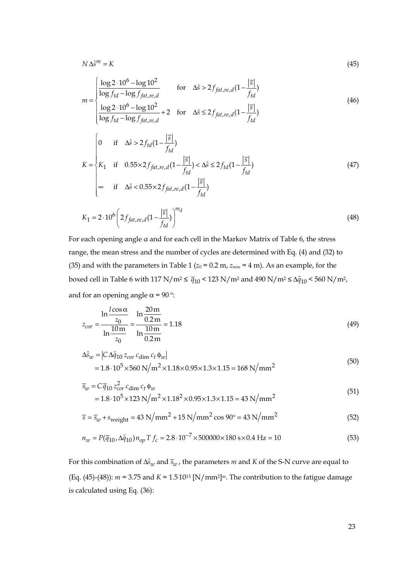$$
N\,\Delta\hat{s}^m = K\tag{45}
$$

$$
m = \begin{cases} \frac{\log 2 \cdot 10^6 - \log 10^2}{\log f_{td} - \log f_{fit,ref}} & \text{for } \Delta \hat{s} > 2f_{fat,ref} (1 - \frac{|\bar{s}|}{f_{td}}) \\ \frac{\log 2 \cdot 10^6 - \log 10^2}{\log f_{td} - \log f_{fit,ref}} + 2 & \text{for } \Delta \hat{s} \le 2f_{fat,ref} (1 - \frac{|\bar{s}|}{f_{td}}) \end{cases}
$$
(46)

$$
K = \begin{cases} 0 & \text{if } \Delta \hat{s} > 2f_{td}(1 - \frac{|\overline{s}|}{f_{td}}) \\ K_1 & \text{if } 0.55 \times 2f_{fat, re, d}(1 - \frac{|\overline{s}|}{f_{td}}) < \Delta \hat{s} \le 2f_{td}(1 - \frac{|\overline{s}|}{f_{td}}) \\ \infty & \text{if } \Delta \hat{s} < 0.55 \times 2f_{fat, re, d}(1 - \frac{|\overline{s}|}{f_{td}}) \end{cases} \tag{47}
$$

$$
K_1 = 2 \cdot 10^6 \left( 2 f_{fat, re, d} (1 - \frac{|\overline{s}|}{f_{td}}) \right)^{m_d}
$$
 (48)

For each opening angle α and for each cell in the Markov Matrix of Table 6, the stress range, the mean stress and the number of cycles are determined with Eq. (4) and (32) to (35) and with the parameters in Table 1 ( $z_0$  = 0.2 m,  $z_{min}$  = 4 m). As an example, for the boxed cell in Table 6 with 117 N/m<sup>2</sup>  $\leq \bar{q}_{10}$  < 123 N/m<sup>2</sup> and 490 N/m<sup>2</sup>  $\leq \Delta \hat{q}_{10}$  < 560 N/m<sup>2</sup>, and for an opening angle  $\alpha$  = 90 °:

$$
z_{cor} = \frac{\ln \frac{l \cos \alpha}{z_0}}{\ln \frac{10 \text{ m}}{z_0}} = \frac{\ln \frac{20 \text{ m}}{0.2 \text{ m}}}{\ln \frac{10 \text{ m}}{0.2 \text{ m}}} = 1.18
$$
(49)

$$
\Delta \hat{s}_w = |C \Delta \hat{q}_{10} z_{cor} c_{\dim} c_t \phi_w|
$$
  
= 1.8 \cdot 10<sup>5</sup> × 560 N/m<sup>2</sup> × 1.18 × 0.95 × 1.3 × 1.15 = 168 N/mm<sup>2</sup> (50)

$$
\overline{s}_w = C \overline{q}_{10} z_{cor}^2 c_{\text{dim}} c_t \phi_w
$$
  
= 1.8 \cdot 10<sup>5</sup> × 123 N/m<sup>2</sup> × 1.18<sup>2</sup> × 0.95 × 1.3 × 1.15 = 43 N/mm<sup>2</sup> (51)

$$
\overline{s} = \overline{s}_w + s_{\text{weight}} = 43 \text{ N}/\text{mm}^2 + 15 \text{ N}/\text{mm}^2 \cos 90^\circ = 43 \text{ N}/\text{mm}^2 \tag{52}
$$

$$
n_w = P(\overline{q}_{10}, \Delta \hat{q}_{10}) n_{op} T f_c = 2.8 \cdot 10^{-7} \times 500000 \times 180 \text{ s} \times 0.4 \text{ Hz} = 10
$$
\n(53)

For this combination of  $\Delta \hat{s}_w$  and  $\bar{s}_w$ , the parameters  $m$  and  $K$  of the S-N curve are equal to  $(Eq. (45)-(48))$ :  $m = 3.75$  and  $K = 1.5 \cdot 10^{13}$  [N/mm<sup>2</sup>]<sup>*m*</sup>. The contribution to the fatigue damage is calculated using Eq. (36):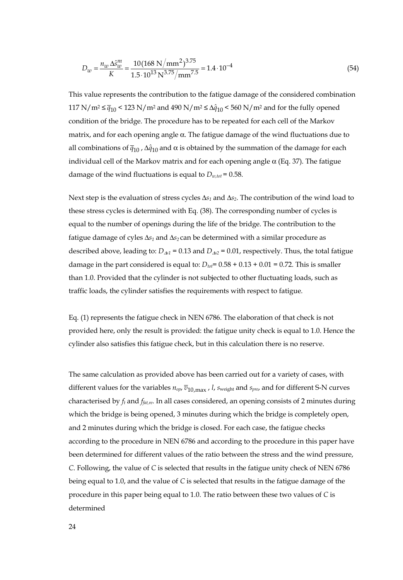$$
D_w = \frac{n_w \Delta s_w^m}{K} = \frac{10(168 \text{ N/mm}^2)^{3.75}}{1.5 \cdot 10^{13} \text{ N}^{3.75} / \text{mm}^{7.5}} = 1.4 \cdot 10^{-4}
$$
\n(54)

This value represents the contribution to the fatigue damage of the considered combination 117 N/m<sup>2</sup>  $\leq \bar{q}_{10}$  < 123 N/m<sup>2</sup> and 490 N/m<sup>2</sup>  $\leq \Delta \hat{q}_{10}$  < 560 N/m<sup>2</sup> and for the fully opened condition of the bridge. The procedure has to be repeated for each cell of the Markov matrix, and for each opening angle  $\alpha$ . The fatigue damage of the wind fluctuations due to all combinations of  $\bar{q}_{10}$ ,  $\Delta \hat{q}_{10}$  and  $\alpha$  is obtained by the summation of the damage for each individual cell of the Markov matrix and for each opening angle α (Eq. 37). The fatigue damage of the wind fluctuations is equal to  $D_{w,tot}$  = 0.58.

Next step is the evaluation of stress cycles Δ*s1* and Δ*s2*. The contribution of the wind load to these stress cycles is determined with Eq. (38). The corresponding number of cycles is equal to the number of openings during the life of the bridge. The contribution to the fatigue damage of cyles  $\Delta s_1$  and  $\Delta s_2$  can be determined with a similar procedure as described above, leading to:  $D_{\Delta 1}$  = 0.13 and  $D_{\Delta 2}$  = 0.01, respectively. Thus, the total fatigue damage in the part considered is equal to:  $D_{tot}$  =  $0.58 + 0.13 + 0.01 = 0.72$ . This is smaller than 1.0. Provided that the cylinder is not subjected to other fluctuating loads, such as traffic loads, the cylinder satisfies the requirements with respect to fatigue.

Eq. (1) represents the fatigue check in NEN 6786. The elaboration of that check is not provided here, only the result is provided: the fatigue unity check is equal to 1.0. Hence the cylinder also satisfies this fatigue check, but in this calculation there is no reserve.

The same calculation as provided above has been carried out for a variety of cases, with different values for the variables  $n_{op}$ ,  $\overline{v}_{10, max}$ , *l*, *s*<sub>weight</sub> and *s<sub>pre*</sub>, and for different S-N curves characterised by *ft* and *ffat,re*. In all cases considered, an opening consists of 2 minutes during which the bridge is being opened, 3 minutes during which the bridge is completely open, and 2 minutes during which the bridge is closed. For each case, the fatigue checks according to the procedure in NEN 6786 and according to the procedure in this paper have been determined for different values of the ratio between the stress and the wind pressure, *C*. Following, the value of *C* is selected that results in the fatigue unity check of NEN 6786 being equal to 1.0, and the value of *C* is selected that results in the fatigue damage of the procedure in this paper being equal to 1.0. The ratio between these two values of *C* is determined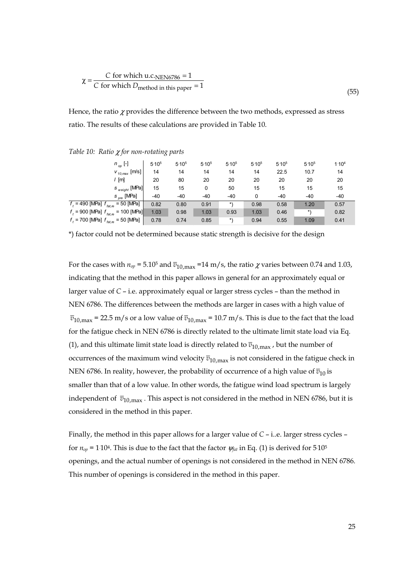$$
\chi = \frac{C \text{ for which } u.c.\text{NEN6786} = 1}{C \text{ for which } D_{\text{method in this paper}} = 1}
$$
\n(55)

Hence, the ratio  $\chi$  provides the difference between the two methods, expressed as stress ratio. The results of these calculations are provided in Table 10.

| $n_{op}$ [-]                                             | 5.10 <sup>5</sup> | $5.10^{5}$ | $5.10^{5}$ | $5.10^{5}$ | $5.10^{5}$ | 5.10 <sup>5</sup> | $5.10^{5}$ | 1.10 <sup>4</sup> |
|----------------------------------------------------------|-------------------|------------|------------|------------|------------|-------------------|------------|-------------------|
| $v_{10, max}$ [m/s] $\mid$                               | 14                | 14         | 14         | 14         | 14         | 22.5              | 10.7       | 14                |
| / [m]                                                    | 20                | 80         | 20         | 20         | 20         | 20                | 20         | 20                |
| $s$ <sub>weight</sub> [MPa]                              | 15                | 15         | 0          | 50         | 15         | 15                | 15         | 15                |
| s <sub>pre</sub> [MPa]                                   | $-40$             | $-40$      | $-40$      | $-40$      | 0          | $-40$             | -40        | $-40$             |
| $= 50$ [MPa]<br>$f_{i} = 490$ [MPa] $f_{lat, re} =$      | 0.82              | 0.80       | 0.91       | *\         | 0.98       | 0.58              | 1.20       | 0.57              |
| $f_t = 900$ [MPa] $f_{\text{fat,re}}$ .<br>$= 100$ [MPa] | 1.03              | 0.98       | 1.03       | 0.93       | 1.03       | 0.46              | $*$        | 0.82              |
| $f_t$ = 700 [MPa] $f_{\text{fat,re}}$<br>= 50 [MPa]      | 0.78              | 0.74       | 0.85       | $*$        | 0.94       | 0.55              | 1.09       | 0.41              |

*Table 10: Ratio* χ *for non-rotating parts*

\*) factor could not be determined because static strength is decisive for the design

For the cases with  $n_{op} = 5.10^5$  and  $\overline{v}_{10,max} = 14$  m/s, the ratio  $\chi$  varies between 0.74 and 1.03, indicating that the method in this paper allows in general for an approximately equal or larger value of *C* – i.e. approximately equal or larger stress cycles – than the method in NEN 6786. The differences between the methods are larger in cases with a high value of  $\bar{v}_{10,max}$  = 22.5 m/s or a low value of  $\bar{v}_{10,max}$  = 10.7 m/s. This is due to the fact that the load for the fatigue check in NEN 6786 is directly related to the ultimate limit state load via Eq. (1), and this ultimate limit state load is directly related to  $\overline{v}_{10,\text{max}}$ , but the number of occurrences of the maximum wind velocity  $\overline{v}_{10,max}$  is not considered in the fatigue check in NEN 6786. In reality, however, the probability of occurrence of a high value of  $\overline{v}_{10}$  is smaller than that of a low value. In other words, the fatigue wind load spectrum is largely independent of  $\bar{v}_{10,max}$ . This aspect is not considered in the method in NEN 6786, but it is considered in the method in this paper.

Finally, the method in this paper allows for a larger value of *C* – i..e. larger stress cycles – for  $n_{op}$  = 1 $10$ <sup>4</sup>. This is due to the fact that the factor  $\psi_{\text{fat}}$  in Eq. (1) is derived for 5 $10^5$ openings, and the actual number of openings is not considered in the method in NEN 6786. This number of openings is considered in the method in this paper.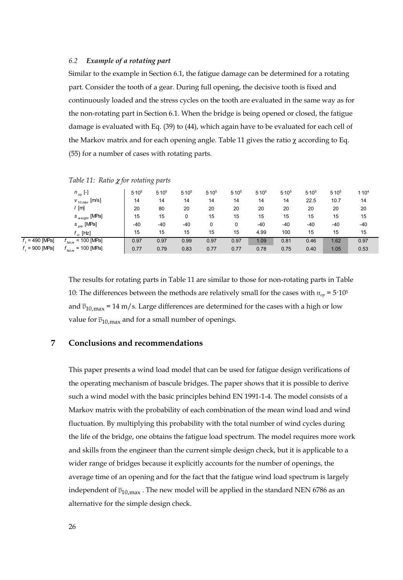#### *6.2 Example of a rotating part*

*Table 11: Ratio* χ *for rotating parts*

Similar to the example in Section 6.1, the fatigue damage can be determined for a rotating part. Consider the tooth of a gear. During full opening, the decisive tooth is fixed and continuously loaded and the stress cycles on the tooth are evaluated in the same way as for the non-rotating part in Section 6.1. When the bridge is being opened or closed, the fatigue damage is evaluated with Eq. (39) to (44), which again have to be evaluated for each cell of the Markov matrix and for each opening angle. Table 11 gives the ratio  $\chi$  according to Eq. (55) for a number of cases with rotating parts.

|                     | $n_{op}$ [-]                                    | 5.10 <sup>5</sup> | 5.10 <sup>5</sup> | 5.10 <sup>5</sup> | 5.10 <sup>5</sup> | 5.10 <sup>5</sup> | 5.10 <sup>5</sup> | 5.10 <sup>5</sup> | 5.10 <sup>5</sup> | 5.10 <sup>5</sup> | 1.10 <sup>4</sup> |
|---------------------|-------------------------------------------------|-------------------|-------------------|-------------------|-------------------|-------------------|-------------------|-------------------|-------------------|-------------------|-------------------|
|                     | $v_{10,max}$ [m/s]                              | 14                | 14                | 14                | 14                | 14                | 14                | 14                | 22.5              | 10.7              | 14                |
|                     | ' [m]                                           | 20                | 80                | 20                | 20                | 20                | 20                | 20                | 20                | 20                | 20                |
|                     | $s_{weight}$ [MPa]                              | 15                | 15                | 0                 | 15                | 15                | 15                | 15                | 15                | 15                | 15                |
|                     | $s_{\text{pre}}$ [MPa]                          | $-40$             | $-40$             | $-40$             |                   | 0                 | $-40$             | $-40$             | $-40$             | -40               | $-40$             |
|                     | $f_{\omega}$ [Hz]                               | 15                | 15                | 15                | 15                | 15                | 4.99              | 100               | 15                | 15                | 15                |
| $fr = 490$ [MPa]    | $= 100$ [MPa]<br>fat.re                         | 0.97              | 0.97              | 0.99              | 0.97              | 0.97              | 1.09              | 0.81              | 0.46              | 1.62              | 0.97              |
| $f_{1}$ = 900 [MPa] | $= 100$ [MPa]<br>$t_{\mathit{fat},\mathit{re}}$ | 0.77              | 0.79              | 0.83              | 0.77              | 0.77              | 0.78              | 0.75              | 0.40              | 1.05              | 0.53              |

The results for rotating parts in Table 11 are similar to those for non-rotating parts in Table 10: The differences between the methods are relatively small for the cases with  $n_{op} = 5.10^5$ and  $\bar{v}_{10,max}$  = 14 m/s. Large differences are determined for the cases with a high or low value for  $\overline{v}_{10,max}$  and for a small number of openings.

# **7 Conclusions and recommendations**

This paper presents a wind load model that can be used for fatigue design verifications of the operating mechanism of bascule bridges. The paper shows that it is possible to derive such a wind model with the basic principles behind EN 1991-1-4. The model consists of a Markov matrix with the probability of each combination of the mean wind load and wind fluctuation. By multiplying this probability with the total number of wind cycles during the life of the bridge, one obtains the fatigue load spectrum. The model requires more work and skills from the engineer than the current simple design check, but it is applicable to a wider range of bridges because it explicitly accounts for the number of openings, the average time of an opening and for the fact that the fatigue wind load spectrum is largely independent of  $\overline{v}_{10,max}$ . The new model will be applied in the standard NEN 6786 as an alternative for the simple design check.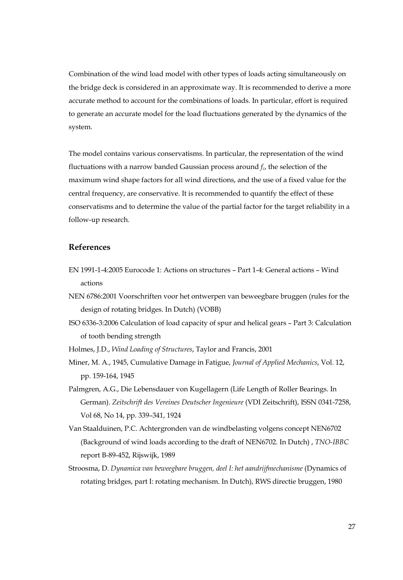Combination of the wind load model with other types of loads acting simultaneously on the bridge deck is considered in an approximate way. It is recommended to derive a more accurate method to account for the combinations of loads. In particular, effort is required to generate an accurate model for the load fluctuations generated by the dynamics of the system.

The model contains various conservatisms. In particular, the representation of the wind fluctuations with a narrow banded Gaussian process around  $f_c$ , the selection of the maximum wind shape factors for all wind directions, and the use of a fixed value for the central frequency, are conservative. It is recommended to quantify the effect of these conservatisms and to determine the value of the partial factor for the target reliability in a follow-up research.

# **References**

- EN 1991-1-4:2005 Eurocode 1: Actions on structures Part 1-4: General actions Wind actions
- NEN 6786:2001 Voorschriften voor het ontwerpen van beweegbare bruggen (rules for the design of rotating bridges. In Dutch) (VOBB)
- ISO 6336-3:2006 Calculation of load capacity of spur and helical gears Part 3: Calculation of tooth bending strength
- Holmes, J.D., *Wind Loading of Structures*, Taylor and Francis, 2001
- Miner, M. A., 1945, Cumulative Damage in Fatigue, *Journal of Applied Mechanics*, Vol. 12, pp. 159-164, 1945
- Palmgren, A.G., Die Lebensdauer von Kugellagern (Life Length of Roller Bearings. In German). *Zeitschrift des Vereines Deutscher Ingenieure* (VDI Zeitschrift), ISSN 0341-7258, Vol 68, No 14, pp. 339–341, 1924
- Van Staalduinen, P.C. Achtergronden van de windbelasting volgens concept NEN6702 (Background of wind loads according to the draft of NEN6702. In Dutch) , *TNO-IBBC* report B-89-452, Rijswijk, 1989
- Stroosma, D. *Dynamica van beweegbare bruggen, deel I: het aandrijfmechanisme* (Dynamics of rotating bridges, part I: rotating mechanism. In Dutch), RWS directie bruggen, 1980